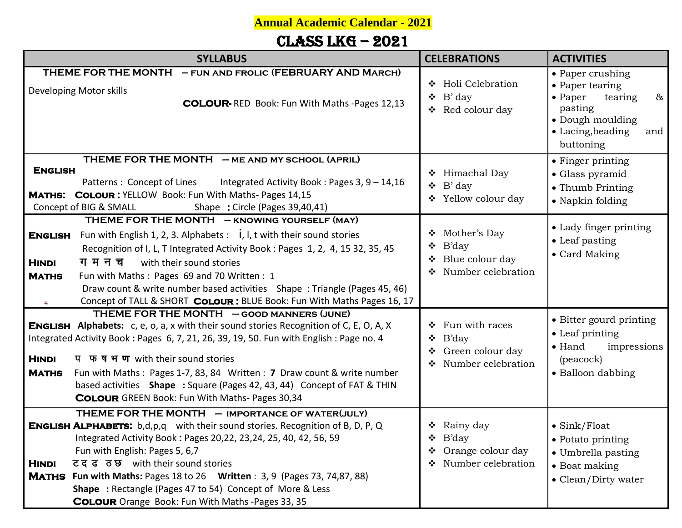**Annual Academic Calendar - 2021**

## Class LKG – 2021

| <b>SYLLABUS</b>                                                                                                                                                                                                                                                                                                                                                                                                                                                                                                               | <b>CELEBRATIONS</b>                                                                          | <b>ACTIVITIES</b>                                                                                                                                 |
|-------------------------------------------------------------------------------------------------------------------------------------------------------------------------------------------------------------------------------------------------------------------------------------------------------------------------------------------------------------------------------------------------------------------------------------------------------------------------------------------------------------------------------|----------------------------------------------------------------------------------------------|---------------------------------------------------------------------------------------------------------------------------------------------------|
| THEME FOR THE MONTH - FUN AND FROLIC (FEBRUARY AND MARCH)<br>Developing Motor skills<br>COLOUR-RED Book: Fun With Maths -Pages 12,13                                                                                                                                                                                                                                                                                                                                                                                          | ❖ Holi Celebration<br>B' day<br>❖<br>Red colour day<br>❖                                     | • Paper crushing<br>• Paper tearing<br>$\bullet$ Paper<br>$\&$<br>tearing<br>pasting<br>• Dough moulding<br>• Lacing, beading<br>and<br>buttoning |
| THEME FOR THE MONTH - ME AND MY SCHOOL (APRIL)<br><b>ENGLISH</b><br>Patterns: Concept of Lines<br>Integrated Activity Book: Pages 3, 9 - 14, 16<br>MATHS: COLOUR: YELLOW Book: Fun With Maths- Pages 14,15<br>Concept of BIG & SMALL<br>Shape: Circle (Pages 39,40,41)                                                                                                                                                                                                                                                        | ❖ Himachal Day<br>$\bullet$ B' day<br>❖ Yellow colour day                                    | • Finger printing<br>• Glass pyramid<br>• Thumb Printing<br>• Napkin folding                                                                      |
| THEME FOR THE MONTH - KNOWING YOURSELF (MAY)<br>Fun with English 1, 2, 3. Alphabets : $\dot{i}$ , $\dot{j}$ , $t$ with their sound stories<br><b>ENGLISH</b><br>Recognition of I, L, T Integrated Activity Book: Pages 1, 2, 4, 15 32, 35, 45<br>ग म न च<br>with their sound stories<br><b>HINDI</b><br><b>MATHS</b><br>Fun with Maths: Pages 69 and 70 Written: 1<br>Draw count & write number based activities Shape: Triangle (Pages 45, 46)<br>Concept of TALL & SHORT COLOUR: BLUE Book: Fun With Maths Pages 16, 17     | Mother's Day<br>❖<br><b>B'day</b><br>❖<br>Blue colour day<br>❖ Number celebration            | • Lady finger printing<br>• Leaf pasting<br>• Card Making                                                                                         |
| THEME FOR THE MONTH - GOOD MANNERS (JUNE)<br><b>ENGLISH</b> Alphabets: c, e, o, a, x with their sound stories Recognition of C, E, O, A, X<br>Integrated Activity Book: Pages 6, 7, 21, 26, 39, 19, 50. Fun with English: Page no. 4<br><b>HINDI</b><br>प फ ष भ ण with their sound stories<br>Fun with Maths: Pages 1-7, 83, 84 Written: 7 Draw count & write number<br><b>MATHS</b><br>based activities Shape : Square (Pages 42, 43, 44) Concept of FAT & THIN<br><b>COLOUR</b> GREEN Book: Fun With Maths- Pages 30,34     | $\div$ Fun with races<br><b>B'day</b><br>❖<br>Green colour day<br>Number celebration<br>❖    | • Bitter gourd printing<br>• Leaf printing<br>$\bullet$ Hand<br>impressions<br>(peacock)<br>• Balloon dabbing                                     |
| THEME FOR THE MONTH - IMPORTANCE OF WATER(JULY)<br><b>ENGLISH ALPHABETS:</b> b,d,p,q with their sound stories. Recognition of B, D, P, Q<br>Integrated Activity Book: Pages 20,22, 23,24, 25, 40, 42, 56, 59<br>Fun with English: Pages 5, 6,7<br>टदढ ठछ with their sound stories<br><b>HINDI</b><br><b>MATHS</b><br><b>Fun with Maths: Pages 18 to 26 Written: 3, 9 (Pages 73, 74,87, 88)</b><br><b>Shape</b> : Rectangle (Pages 47 to 54) Concept of More & Less<br><b>COLOUR</b> Orange Book: Fun With Maths -Pages 33, 35 | $\triangleleft$ Rainy day<br>B'day<br>❖<br>Orange colour day<br>❖<br>Number celebration<br>❖ | $\bullet$ Sink/Float<br>• Potato printing<br>• Umbrella pasting<br>• Boat making<br>• Clean/Dirty water                                           |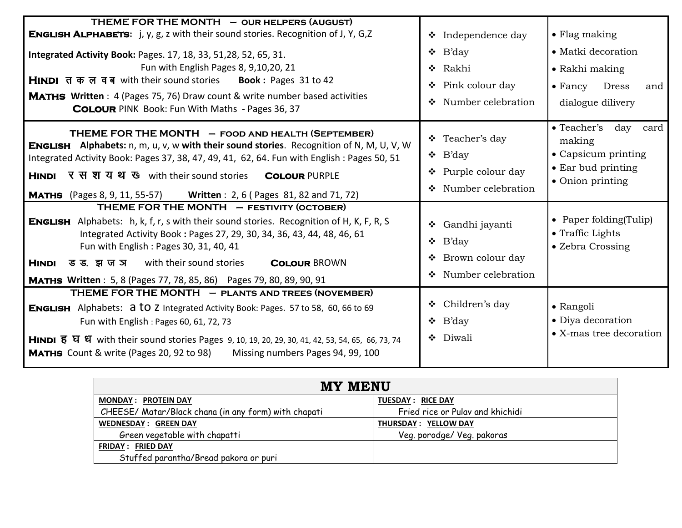| THEME FOR THE MONTH - OUR HELPERS (AUGUST)<br><b>ENGLISH ALPHABETS:</b> j, y, g, z with their sound stories. Recognition of J, Y, G, Z<br><b>Integrated Activity Book: Pages. 17, 18, 33, 51, 28, 52, 65, 31.</b><br>Fun with English Pages 8, 9,10,20, 21<br>HINDI तकल वब with their sound stories Book: Pages 31 to 42<br><b>MATHS</b> Written: 4 (Pages 75, 76) Draw count & write number based activities<br><b>COLOUR</b> PINK Book: Fun With Maths - Pages 36, 37 | $\bullet$ Independence day<br>$\bullet$ B'day<br>❖ Rakhi<br>Pink colour day<br>❖<br>Number celebration<br>$\frac{1}{2}$ | $\bullet$ Flag making<br>• Matki decoration<br>• Rakhi making<br>$\bullet$ Fancy<br><b>Dress</b><br>and<br>dialogue dilivery |
|-------------------------------------------------------------------------------------------------------------------------------------------------------------------------------------------------------------------------------------------------------------------------------------------------------------------------------------------------------------------------------------------------------------------------------------------------------------------------|-------------------------------------------------------------------------------------------------------------------------|------------------------------------------------------------------------------------------------------------------------------|
| THEME FOR THE MONTH - FOOD AND HEALTH (SEPTEMBER)<br><b>ENGLISH</b> Alphabets: n, m, u, v, w with their sound stories. Recognition of N, M, U, V, W<br>Integrated Activity Book: Pages 37, 38, 47, 49, 41, 62, 64. Fun with English: Pages 50, 51<br>HINDI र स श यथ ए with their sound stories<br><b>COLOUR PURPLE</b><br><b>MATHS</b> (Pages 8, 9, 11, 55-57) Written: 2, 6 (Pages 81, 82 and 71, 72)                                                                  | ❖ Teacher's day<br>$\bullet$ B'day<br>❖ Purple colour day<br>❖ Number celebration                                       | $\bullet$ Teacher's<br>day card<br>making<br>• Capsicum printing<br>• Ear bud printing<br>• Onion printing                   |
| THEME FOR THE MONTH - FESTIVITY (OCTOBER)<br><b>ENGLISH</b> Alphabets: h, k, f, r, s with their sound stories. Recognition of H, K, F, R, S<br>Integrated Activity Book: Pages 27, 29, 30, 34, 36, 43, 44, 48, 46, 61<br>Fun with English: Pages 30, 31, 40, 41<br>with their sound stories<br><b>HINDI</b><br>ड ड. झ ज ञ<br><b>COLOUR BROWN</b><br><b>MATHS Written</b> : 5, 8 (Pages 77, 78, 85, 86) Pages 79, 80, 89, 90, 91                                         | ❖ Gandhi jayanti<br>B'day<br>❖<br>Brown colour day<br>❖<br>❖ Number celebration                                         | • Paper folding (Tulip)<br>• Traffic Lights<br>• Zebra Crossing                                                              |
| THEME FOR THE MONTH - PLANTS AND TREES (NOVEMBER)<br><b>ENGLISH</b> Alphabets: <b>a to z</b> Integrated Activity Book: Pages. 57 to 58, 60, 66 to 69<br>Fun with English: Pages 60, 61, 72, 73<br>HINDI है घे धे with their sound stories Pages 9, 10, 19, 20, 29, 30, 41, 42, 53, 54, 65, 66, 73, 74<br><b>MATHS</b> Count & write (Pages 20, 92 to 98)<br>Missing numbers Pages 94, 99, 100                                                                           | ❖ Children's day<br>$\bullet$ B'day<br>❖ Diwali                                                                         | $\bullet$ Rangoli<br>• Diya decoration<br>• X-mas tree decoration                                                            |

| <b>MY MENU</b>                                       |                                  |
|------------------------------------------------------|----------------------------------|
| <b>MONDAY: PROTEIN DAY</b>                           | <b>TUESDAY: RICE DAY</b>         |
| CHEESE/ Matar/Black chana (in any form) with chapati | Fried rice or Pulav and khichidi |
| <b>WEDNESDAY: GREEN DAY</b>                          | THURSDAY: YELLOW DAY             |
| Green vegetable with chapatti                        | Veg. porodge/ Veg. pakoras       |
| <b>FRIDAY: FRIED DAY</b>                             |                                  |
| Stuffed parantha/Bread pakora or puri                |                                  |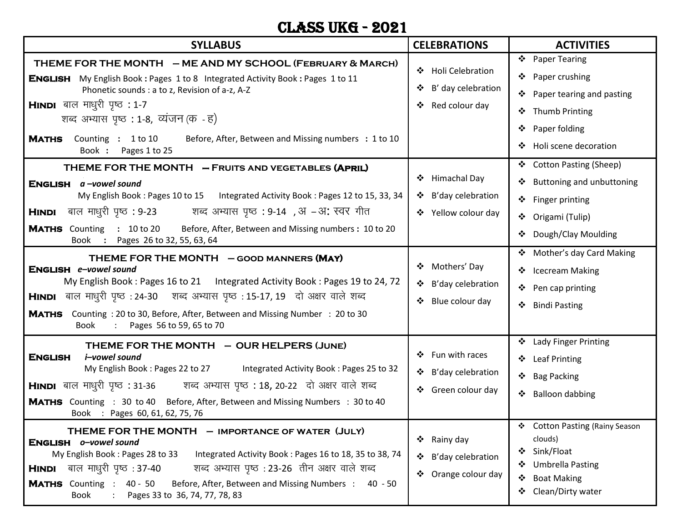#### CLASS UKG - 2021

| <b>SYLLABUS</b>                                                                                                                                                                                                                                                                                                                                                                                                                                                                                                                                                                                                                                            | <b>CELEBRATIONS</b>                                                                                                              | <b>ACTIVITIES</b>                                                                                                                                                                                                |
|------------------------------------------------------------------------------------------------------------------------------------------------------------------------------------------------------------------------------------------------------------------------------------------------------------------------------------------------------------------------------------------------------------------------------------------------------------------------------------------------------------------------------------------------------------------------------------------------------------------------------------------------------------|----------------------------------------------------------------------------------------------------------------------------------|------------------------------------------------------------------------------------------------------------------------------------------------------------------------------------------------------------------|
| THEME FOR THE MONTH - ME AND MY SCHOOL (FEBRUARY & MARCH)<br>My English Book: Pages 1 to 8 Integrated Activity Book: Pages 1 to 11<br>ENGLISH<br>Phonetic sounds : a to z, Revision of a-z, A-Z<br><b>HINDI</b> बाल माधुरी पृष्ठ : 1-7<br>शब्द अभ्यास पृष्ठ : 1-8, व्यंजन (क - ह)<br>Counting : 1 to 10<br><b>MATHS</b><br>Before, After, Between and Missing numbers : 1 to 10<br>Book :<br>Pages 1 to 25                                                                                                                                                                                                                                                 | ❖ Holi Celebration<br>B' day celebration<br>Red colour day<br>❖                                                                  | $\ddot{\bullet}$<br><b>Paper Tearing</b><br>Paper crushing<br>❖<br>Paper tearing and pasting<br>❖<br><b>Thumb Printing</b><br>❖<br>❖<br>Paper folding<br>Holi scene decoration<br>❖                              |
| THEME FOR THE MONTH - FRUITS AND VEGETABLES (APRIL)<br>ENGLISH a-vowel sound<br>My English Book: Pages 10 to 15 Integrated Activity Book: Pages 12 to 15, 33, 34<br><b>HINDI</b> बाल माधुरी पृष्ठ : 9-23           शब्द अभ्यास पृष्ठ : 9-14  , अ  – अ: स्वर गीत<br><b>MATHS</b> Counting : 10 to 20<br>Before, After, Between and Missing numbers: 10 to 20<br>Book : Pages 26 to 32, 55, 63, 64                                                                                                                                                                                                                                                           | ❖ Himachal Day<br>❖ B'day celebration<br>❖ Yellow colour day                                                                     | ❖ Cotton Pasting (Sheep)<br>Buttoning and unbuttoning<br>❖ Finger printing<br>Origami (Tulip)<br>❖<br>Dough/Clay Moulding                                                                                        |
| THEME FOR THE MONTH - GOOD MANNERS (MAY)<br>ENGLISH e-vowel sound<br>My English Book: Pages 16 to 21 Integrated Activity Book: Pages 19 to 24, 72<br>HINDI बाल माधुरी पृष्ठ : 24-30 शब्द अभ्यास पृष्ठ : 15-17, 19 दो अक्षर वाले शब्द<br>Counting: 20 to 30, Before, After, Between and Missing Number: 20 to 30<br><b>MATHS</b><br>Pages 56 to 59, 65 to 70<br>Book                                                                                                                                                                                                                                                                                        | ❖ Mothers' Day<br>❖ B'day celebration<br>Blue colour day<br>❖                                                                    | ❖ Mother's day Card Making<br>❖ Icecream Making<br>❖ Pen cap printing<br><b>Bindi Pasting</b><br>❖                                                                                                               |
| THEME FOR THE MONTH - OUR HELPERS (JUNE)<br><b>ENGLISH</b><br>i–vowel sound<br>My English Book: Pages 22 to 27<br>Integrated Activity Book: Pages 25 to 32<br>HINDI बाल माधुरी पृष्ठ : 31-36         शब्द अभ्यास पृष्ठ : 18, 20-22   दो अक्षर वाले शब्द<br><b>MATHS</b> Counting : 30 to 40 Before, After, Between and Missing Numbers : 30 to 40<br>Book : Pages 60, 61, 62, 75, 76<br>THEME FOR THE MONTH - IMPORTANCE OF WATER (JULY)<br>ENGLISH o-vowel sound<br>My English Book: Pages 28 to 33<br>Integrated Activity Book: Pages 16 to 18, 35 to 38, 74<br>शब्द अभ्यास पृष्ठ : 23-26 तीन अक्षर वाले शब्द<br>बाल माधुरी पृष्ठ :37-40<br><b>HINDI</b> | ❖ Fun with races<br>❖ B'day celebration<br>❖ Green colour day<br>❖ Rainy day<br>B'day celebration<br>❖<br>Orange colour day<br>❖ | ❖ Lady Finger Printing<br>❖ Leaf Printing<br>❖<br><b>Bag Packing</b><br><b>Balloon dabbing</b><br><b>WEBSTER</b><br>❖ Cotton Pasting (Rainy Season<br>clouds)<br>Sink/Float<br>❖<br><b>Umbrella Pasting</b><br>❖ |
| <b>MATHS</b> Counting : 40 - 50<br>Before, After, Between and Missing Numbers:<br>40 - 50<br>Book<br>Pages 33 to 36, 74, 77, 78, 83                                                                                                                                                                                                                                                                                                                                                                                                                                                                                                                        |                                                                                                                                  | <b>Boat Making</b><br>❖<br>Clean/Dirty water<br>❖                                                                                                                                                                |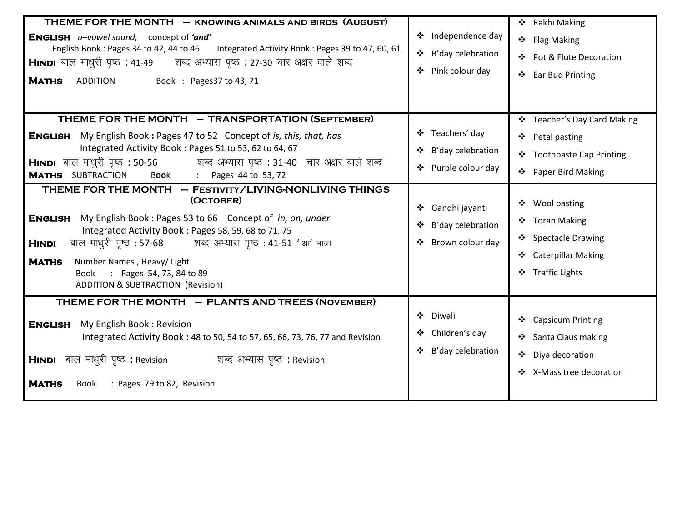| THEME FOR THE MONTH - KNOWING ANIMALS AND BIRDS (AUGUST)<br>ENGLISH u-vowel sound, concept of 'and'<br>English Book: Pages 34 to 42, 44 to 46 Integrated Activity Book: Pages 39 to 47, 60, 61<br>HINDI बाल माधुरी पृष्ठ : 41-49 सब्द अभ्यास पृष्ठ : 27-30 चार अक्षर वाले शब्द<br>Book: Pages 37 to 43, 71<br><b>MATHS</b><br><b>ADDITION</b>                                                                                                                                                                                                                                                                                                                                                                                                                                  | Independence day<br>B'day celebration<br>$\bullet$<br>Pink colour day<br>❖                                                                  | ❖ Rakhi Making<br>❖ Flag Making<br>❖ Pot & Flute Decoration<br>❖ Ear Bud Printing                                                                                                                         |
|--------------------------------------------------------------------------------------------------------------------------------------------------------------------------------------------------------------------------------------------------------------------------------------------------------------------------------------------------------------------------------------------------------------------------------------------------------------------------------------------------------------------------------------------------------------------------------------------------------------------------------------------------------------------------------------------------------------------------------------------------------------------------------|---------------------------------------------------------------------------------------------------------------------------------------------|-----------------------------------------------------------------------------------------------------------------------------------------------------------------------------------------------------------|
| THEME FOR THE MONTH - TRANSPORTATION (SEPTEMBER)<br><b>ENGLISH</b> My English Book: Pages 47 to 52 Concept of is, this, that, has<br>Integrated Activity Book: Pages 51 to 53, 62 to 64, 67<br>HINDI बाल माधुरी पृष्ठ : 50-56           शब्द अभ्यास पृष्ठ : 31-40  चार अक्षर वाले शब्द<br><b>MATHS</b> SUBTRACTION<br>: Pages 44 to 53, 72<br>Book<br>THEME FOR THE MONTH - FESTIVITY/LIVING-NONLIVING THINGS<br>(OCTOBER)<br><b>ENGLISH</b> My English Book: Pages 53 to 66 Concept of in, on, under<br>Integrated Activity Book: Pages 58, 59, 68 to 71, 75<br>बाल माधुरी पृष्ठ: 57-68 शब्द अभ्यास पृष्ठ: 41-51 'आ' मात्रा<br><b>HINDI</b><br><b>MATHS</b><br>Number Names, Heavy/ Light<br>: Pages 54, 73, 84 to 89<br>Book<br><b>ADDITION &amp; SUBTRACTION (Revision)</b> | ❖ Teachers' day<br>B'day celebration<br>Purple colour day<br>$\bullet$<br>Gandhi jayanti<br>❖<br>B'day celebration<br>❖<br>Brown colour day | ❖ Teacher's Day Card Making<br>❖ Petal pasting<br>❖ Toothpaste Cap Printing<br>❖ Paper Bird Making<br>❖ Wool pasting<br>❖ Toran Making<br>❖ Spectacle Drawing<br>❖ Caterpillar Making<br>❖ Traffic Lights |
| THEME FOR THE MONTH - PLANTS AND TREES (NOVEMBER)<br>My English Book: Revision<br><b>ENGLISH</b><br>Integrated Activity Book: 48 to 50, 54 to 57, 65, 66, 73, 76, 77 and Revision<br>HINDI बाल माधुरी पृष्ठ : Revision<br>शब्द अभ्यास पृष्ठ : Revision<br><b>MATHS</b><br>: Pages 79 to 82, Revision<br>Book                                                                                                                                                                                                                                                                                                                                                                                                                                                                   | Diwali<br>❖<br>Children's day<br>B'day celebration<br>$\bullet$                                                                             | ❖ Capsicum Printing<br>❖ Santa Claus making<br>❖ Diya decoration<br>❖ X-Mass tree decoration                                                                                                              |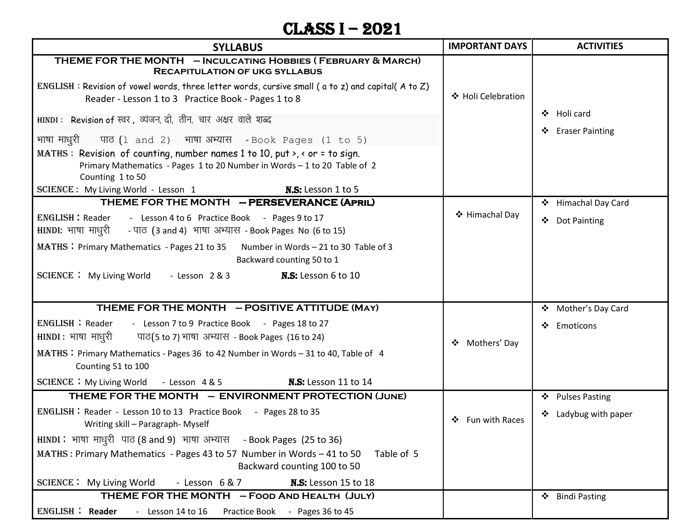# CLASS I – 2021

| <b>SYLLABUS</b>                                                                                                                                                                            | <b>IMPORTANT DAYS</b> | <b>ACTIVITIES</b>                |
|--------------------------------------------------------------------------------------------------------------------------------------------------------------------------------------------|-----------------------|----------------------------------|
| THEME FOR THE MONTH - INCULCATING HOBBIES (FEBRUARY & MARCH)<br><b>RECAPITULATION OF UKG SYLLABUS</b>                                                                                      |                       |                                  |
| $ENGLISH$ : Revision of vowel words, three letter words, cursive small (a to z) and capital(A to Z)<br>Reader - Lesson 1 to 3 Practice Book - Pages 1 to 8                                 | ❖ Holi Celebration    |                                  |
| HINDI: Revision of स्वर, व्यंजन, दो, तीन, चार अक्षर वाले शब्द                                                                                                                              |                       | ❖ Holi card<br>❖ Eraser Painting |
| भाषा माधुरी<br>पाठ $(1 \text{ and } 2)$ भाषा अभ्यास - Book Pages $(1 \text{ to } 5)$                                                                                                       |                       |                                  |
| MATHS: Revision of counting, number names 1 to 10, put $\lambda$ , $\lambda$ or = to sign.<br>Primary Mathematics - Pages 1 to 20 Number in Words - 1 to 20 Table of 2<br>Counting 1 to 50 |                       |                                  |
| SCIENCE: My Living World - Lesson 1<br><b>N.S:</b> Lesson 1 to 5                                                                                                                           |                       |                                  |
| THEME FOR THE MONTH - PERSEVERANCE (APRIL)                                                                                                                                                 |                       | ❖ Himachal Day Card              |
| ENGLISH: Reader - Lesson 4 to 6 Practice Book - Pages 9 to 17<br><b>HINDI:</b> भाषा माधुरी - पाठ (3 and 4) भाषा अभ्यास - Book Pages No (6 to 15)                                           | ❖ Himachal Day        | ❖ Dot Painting                   |
| MATHS : Primary Mathematics - Pages 21 to 35 Number in Words - 21 to 30 Table of 3<br>Backward counting 50 to 1                                                                            |                       |                                  |
| SCIENCE : My Living World - Lesson 2 & 3<br><b>N.S:</b> Lesson 6 to 10                                                                                                                     |                       |                                  |
|                                                                                                                                                                                            |                       |                                  |
| THEME FOR THE MONTH - POSITIVE ATTITUDE (MAY)                                                                                                                                              |                       | ❖ Mother's Day Card              |
| <b>ENGLISH: Reader</b><br>- Lesson 7 to 9 Practice Book - Pages 18 to 27                                                                                                                   |                       | ❖ Emoticons                      |
| HINDI: भाषा माधुरी<br>पाठ(5 to 7) भाषा अभ्यास - Book Pages (16 to 24)                                                                                                                      | ❖ Mothers' Day        |                                  |
| MATHS: Primary Mathematics - Pages 36 to 42 Number in Words - 31 to 40, Table of 4<br>Counting 51 to 100                                                                                   |                       |                                  |
| <b>N.S:</b> Lesson 11 to 14<br>SCIENCE : My Living World - Lesson 4 & 5                                                                                                                    |                       |                                  |
| THEME FOR THE MONTH - ENVIRONMENT PROTECTION (JUNE)                                                                                                                                        |                       | ❖ Pulses Pasting                 |
| <b>ENGLISH: Reader - Lesson 10 to 13 Practice Book - Pages 28 to 35</b><br>Writing skill - Paragraph- Myself                                                                               | ❖ Fun with Races      | ❖ Ladybug with paper             |
| HINDI: भाषा माधुरी पाठ (8 and 9) भाषा अभ्यास - Book Pages (25 to 36)                                                                                                                       |                       |                                  |
| MATHS: Primary Mathematics - Pages 43 to 57 Number in Words - 41 to 50<br>Table of 5<br>Backward counting 100 to 50                                                                        |                       |                                  |
| N.S: Lesson 15 to 18<br><b>SCIENCE:</b> My Living World<br>- Lesson $6&7$                                                                                                                  |                       |                                  |
| THEME FOR THE MONTH - FOOD AND HEALTH (JULY)                                                                                                                                               |                       | ❖ Bindi Pasting                  |
| ENGLISH : Reader<br>- Lesson 14 to 16<br>Practice Book - Pages 36 to 45                                                                                                                    |                       |                                  |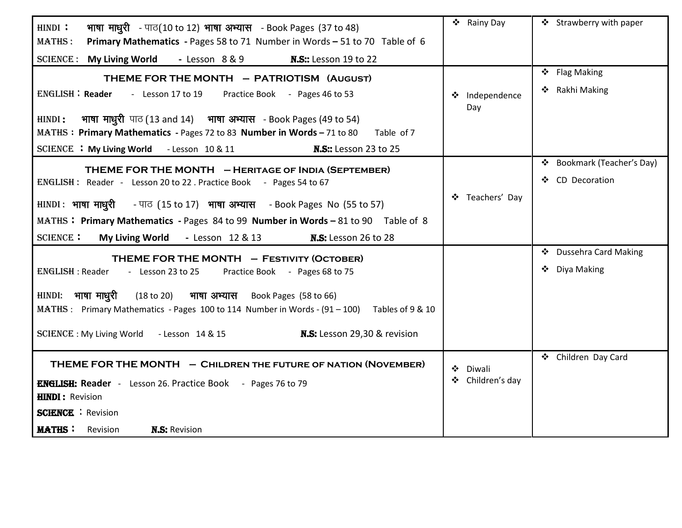| भाषा माधुरी - पाठ(10 to 12) भाषा अभ्यास - Book Pages (37 to 48)<br>HINDI:                                                                                      | ❖ Rainy Day           | ❖ Strawberry with paper       |
|----------------------------------------------------------------------------------------------------------------------------------------------------------------|-----------------------|-------------------------------|
| <b>MATHS:</b><br>Primary Mathematics - Pages 58 to 71 Number in Words - 51 to 70 Table of 6                                                                    |                       |                               |
| SCIENCE: My Living World - Lesson 8 & 9<br><b>N.S::</b> Lesson 19 to 22                                                                                        |                       |                               |
| THEME FOR THE MONTH - PATRIOTISM (AUGUST)                                                                                                                      |                       | ❖ Flag Making                 |
| ENGLISH: Reader - Lesson 17 to 19<br>Practice Book - Pages 46 to 53                                                                                            | ❖ Independence<br>Day | ❖ Rakhi Making                |
| भाषा माधुरी पाठ (13 and 14) भाषा अभ्यास - Book Pages (49 to 54)<br>HINDI:                                                                                      |                       |                               |
| MATHS: Primary Mathematics - Pages 72 to 83 Number in Words - 71 to 80<br>Table of 7                                                                           |                       |                               |
| SCIENCE : My Living World - Lesson 10 & 11<br><b>N.S::</b> Lesson 23 to 25                                                                                     |                       |                               |
| THEME FOR THE MONTH - HERITAGE OF INDIA (SEPTEMBER)                                                                                                            |                       | Bookmark (Teacher's Day)<br>❖ |
| ENGLISH: Reader - Lesson 20 to 22 . Practice Book - Pages 54 to 67                                                                                             |                       | ❖ CD Decoration               |
| $HINDI:$ भाषा माधूरी - पाठ (15 to 17) भाषा अभ्यास - Book Pages No (55 to 57)                                                                                   | ❖ Teachers' Day       |                               |
| MATHS: Primary Mathematics - Pages 84 to 99 Number in Words - 81 to 90 Table of 8                                                                              |                       |                               |
| <b>SCIENCE:</b><br>My Living World - Lesson 12 & 13<br><b>N.S:</b> Lesson 26 to 28                                                                             |                       |                               |
| THEME FOR THE MONTH - FESTIVITY (OCTOBER)                                                                                                                      |                       | ❖ Dussehra Card Making        |
| ENGLISH: Reader - Lesson 23 to 25<br>Practice Book - Pages 68 to 75                                                                                            |                       | ❖ Diya Making                 |
| HINDI: भाषा माधुरी (18 to 20) भाषा अभ्यास Book Pages (58 to 66)<br>MATHS: Primary Mathematics - Pages 100 to 114 Number in Words - (91 - 100) Tables of 9 & 10 |                       |                               |
| SCIENCE : My Living World - Lesson 14 & 15 <b>N.S:</b> Lesson 29,30 & revision                                                                                 |                       |                               |
| THEME FOR THE MONTH - CHILDREN THE FUTURE OF NATION (NOVEMBER)                                                                                                 | ❖<br>Diwali           | ❖ Children Day Card           |
| <b>ENGLISH: Reader</b> - Lesson 26. Practice Book - Pages 76 to 79                                                                                             | Children's day<br>❖   |                               |
| <b>HINDI: Revision</b>                                                                                                                                         |                       |                               |
| <b>SCIENCE</b> : Revision                                                                                                                                      |                       |                               |
| <b>MATHS:</b> Revision<br><b>N.S: Revision</b>                                                                                                                 |                       |                               |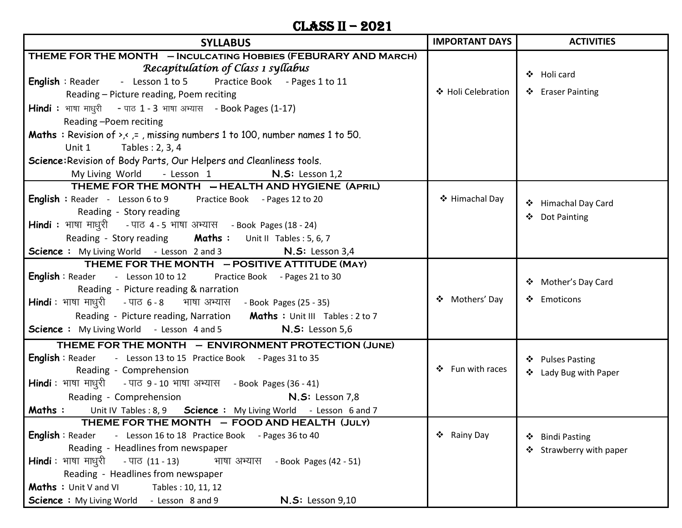#### Class II – 2021

| <b>SYLLABUS</b>                                                                                                                                                                                                                                                                                                                                                                                                                         | <b>IMPORTANT DAYS</b> | <b>ACTIVITIES</b>                          |
|-----------------------------------------------------------------------------------------------------------------------------------------------------------------------------------------------------------------------------------------------------------------------------------------------------------------------------------------------------------------------------------------------------------------------------------------|-----------------------|--------------------------------------------|
| THEME FOR THE MONTH - INCULCATING HOBBIES (FEBURARY AND MARCH)<br>Recapitulation of Class 1 syllabus<br>English: Reader - Lesson 1 to 5 Practice Book - Pages 1 to 11<br>Reading - Picture reading, Poem reciting<br>Hindi : भाषा माधुरी - पाठ 1 - 3 भाषा अभ्यास - Book Pages (1-17)<br>Reading -Poem reciting                                                                                                                          | ❖ Holi Celebration    | ❖ Holi card<br>❖ Eraser Painting           |
| <b>Maths</b> : Revision of $\rightarrow$ , $\prime$ , $=$ , missing numbers 1 to 100, number names 1 to 50.<br>Tables: 2, 3, 4<br>Unit 1<br>Science: Revision of Body Parts, Our Helpers and Cleanliness tools.<br>My Living World - Lesson 1 N.S: Lesson 1,2                                                                                                                                                                           |                       |                                            |
| THEME FOR THE MONTH - HEALTH AND HYGIENE (APRIL)<br><b>English</b> : Reader - Lesson 6 to 9 Practice Book - Pages 12 to 20<br>Reading - Story reading<br><b>Hindi</b> : भाषा माधुरी - पाठ 4-5 भाषा अभ्यास - Book Pages (18-24)<br>Reading - Story reading Maths: Unit II Tables: 5, 6, 7<br><b>Science</b> : My Living World - Lesson 2 and 3 <b>N.S:</b> Lesson 3,4                                                                    | ❖ Himachal Day        | ❖ Himachal Day Card<br>❖ Dot Painting      |
| THEME FOR THE MONTH - POSITIVE ATTITUDE (MAY)<br><b>English</b> : Reader - Lesson 10 to 12 Practice Book - Pages 21 to 30<br>Reading - Picture reading & narration<br><b>Hindi</b> : भाषा माधुरी     - पाठ ६ - ८      भाषा अभ्यास    - Book Pages (25 - 35)<br>Reading - Picture reading, Narration Maths : Unit III Tables : 2 to 7<br><b>Science :</b> My Living World - Lesson 4 and 5<br>$N.S:$ Lesson 5,6                          | ❖ Mothers' Day        | ❖ Mother's Day Card<br>❖ Emoticons         |
| THEME FOR THE MONTH - ENVIRONMENT PROTECTION (JUNE)<br>English: Reader - Lesson 13 to 15 Practice Book - Pages 31 to 35<br>Reading - Comprehension<br>Hindi: भाषा माधुरी - पाठ 9 - 10 भाषा अभ्यास - Book Pages (36 - 41)<br>Reading - Comprehension <b>N.S:</b> Lesson 7,8<br>Maths : Unit IV Tables : 8, 9 Science : My Living World - Lesson 6 and 7                                                                                  | ❖ Fun with races      | ❖ Pulses Pasting<br>❖ Lady Bug with Paper  |
| THEME FOR THE MONTH          FOOD AND HEALTH  (JULY)<br><b>English</b> : Reader - Lesson 16 to 18 Practice Book - Pages 36 to 40<br>Reading - Headlines from newspaper<br><b>Hindi</b> : भाषा माधुरी<br>- पाठ (11 - 13)<br>भाषा अभ्यास<br>- Book Pages (42 - 51)<br>Reading - Headlines from newspaper<br>Maths: Unit V and VI<br>Tables: 10, 11, 12<br>- Lesson 8 and 9<br><b>N.S: Lesson 9,10</b><br><b>Science : My Living World</b> | ❖ Rainy Day           | ❖ Bindi Pasting<br>❖ Strawberry with paper |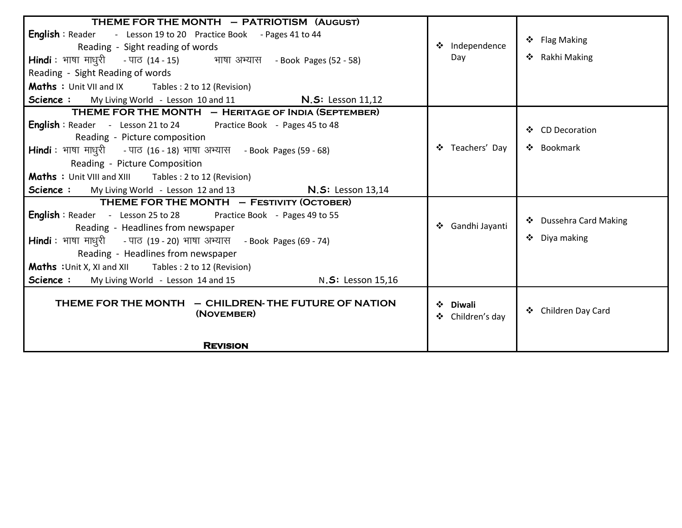| THEME FOR THE MONTH - PATRIOTISM (AUGUST)                                     |                              |                        |
|-------------------------------------------------------------------------------|------------------------------|------------------------|
| <b>English</b> : Reader - Lesson 19 to 20 Practice Book - Pages 41 to 44      |                              |                        |
| Reading - Sight reading of words                                              | ❖ Independence               | ❖ Flag Making          |
| Hindi: भाषा माधुरी - पाठ (14 - 15) भाषा अभ्यास - Book Pages (52 - 58)         | Day                          | ❖ Rakhi Making         |
| Reading - Sight Reading of words                                              |                              |                        |
| <b>Maths</b> : Unit VII and IX Tables : 2 to 12 (Revision)                    |                              |                        |
| Science: My Living World - Lesson 10 and 11 <b>N.S:</b> Lesson 11,12          |                              |                        |
| THEME FOR THE MONTH - HERITAGE OF INDIA (SEPTEMBER)                           |                              |                        |
| <b>English</b> : Reader - Lesson 21 to 24 Practice Book - Pages 45 to 48      |                              | ❖ CD Decoration        |
| Reading - Picture composition                                                 |                              |                        |
| <b>Hindi</b> : भाषा माधुरी - पाठ (16 - 18) भाषा अभ्यास - Book Pages (59 - 68) | ❖ Teachers' Day              | ❖ Bookmark             |
| Reading - Picture Composition                                                 |                              |                        |
| <b>Maths</b> : Unit VIII and XIII Tables : 2 to 12 (Revision)                 |                              |                        |
| Science: My Living World - Lesson 12 and 13 <b>N.S:</b> Lesson 13,14          |                              |                        |
| THEME FOR THE MONTH - FESTIVITY (OCTOBER)                                     |                              |                        |
| <b>English</b> : Reader - Lesson 25 to 28 Practice Book - Pages 49 to 55      |                              |                        |
| Reading - Headlines from newspaper                                            | ❖ Gandhi Jayanti             | ❖ Dussehra Card Making |
| <b>Hindi</b> : भाषा माधुरी - पाठ (19 - 20) भाषा अभ्यास - Book Pages (69 - 74) |                              | ❖ Diya making          |
| Reading - Headlines from newspaper                                            |                              |                        |
| <b>Maths</b> : Unit X, XI and XII Tables : 2 to 12 (Revision)                 |                              |                        |
| <b>Science:</b> My Living World - Lesson 14 and 15 N.S: Lesson 15,16          |                              |                        |
| THEME FOR THE MONTH - CHILDREN- THE FUTURE OF NATION<br>(NOVEMBER)            | ❖ Diwali<br>❖ Children's day | ❖ Children Day Card    |
| <b>REVISION</b>                                                               |                              |                        |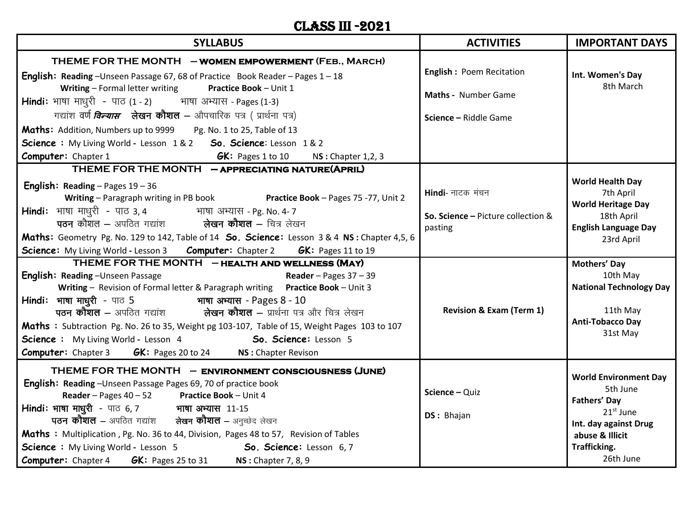#### CLASS III -2021

| <b>SYLLABUS</b>                                                                                                                                                                                                                                                                                                                                                                                                                                                                                                                                                                                                                                                                             | <b>ACTIVITIES</b>                                                                                        | <b>IMPORTANT DAYS</b>                                                                                                                                                                                                             |
|---------------------------------------------------------------------------------------------------------------------------------------------------------------------------------------------------------------------------------------------------------------------------------------------------------------------------------------------------------------------------------------------------------------------------------------------------------------------------------------------------------------------------------------------------------------------------------------------------------------------------------------------------------------------------------------------|----------------------------------------------------------------------------------------------------------|-----------------------------------------------------------------------------------------------------------------------------------------------------------------------------------------------------------------------------------|
| THEME FOR THE MONTH - WOMEN EMPOWERMENT (FEB., MARCH)<br><b>English: Reading</b> -Unseen Passage 67, 68 of Practice Book Reader - Pages 1 - 18<br>Writing - Formal letter writing<br>Practice Book - Unit 1<br><b>Hindi:</b> भाषा माधुरी - पाठ (1 - 2) भाषा अभ्यास - Pages (1-3)<br>गद्यांश वर्ण <i>विन्यास</i> लेखन कौशल – औपचारिक पत्र ( प्रार्थना पत्र)<br>Maths: Addition, Numbers up to 9999 Pg. No. 1 to 25, Table of 13<br><b>Science:</b> My Living World - Lesson 1&2 <b>So. Science:</b> Lesson 1&2<br><b>Computer:</b> Chapter 1<br><b>GK:</b> Pages 1 to 10 $\qquad$ NS : Chapter 1,2, 3                                                                                        | <b>English: Poem Recitation</b><br>Maths - Number Game<br>Science - Riddle Game                          | Int. Women's Day<br>8th March                                                                                                                                                                                                     |
| THEME FOR THE MONTH - APPRECIATING NATURE(APRIL)<br><b>English: Reading - Pages 19 - 36</b><br>Writing - Paragraph writing in PB book Practice Book - Pages 75 -77, Unit 2<br>Hindi: भाषा माधुरी - पाठ 3, 4 भाषा अभ्यास - Pg. No. 4-7<br>पठन कौशल – अपठित गद्यांश           लेखन कौशल – चित्र लेखन<br>Maths: Geometry Pg. No. 129 to 142, Table of 14 So. Science: Lesson 3 & 4 NS: Chapter 4,5, 6<br>Science: My Living World - Lesson 3 Computer: Chapter 2 GK: Pages 11 to 19<br>THEME FOR THE MONTH - HEALTH AND WELLNESS (MAY)<br><b>English: Reading-Unseen Passage</b><br>Reader - Pages $37 - 39$<br>Writing - Revision of Formal letter & Paragraph writing Practice Book - Unit 3 | Hindi- नाटक मंचन<br>So. Science - Picture collection &<br>pasting<br><b>Revision &amp; Exam (Term 1)</b> | <b>World Health Day</b><br>7th April<br><b>World Heritage Day</b><br>18th April<br><b>English Language Day</b><br>23rd April<br>Mothers' Day<br>10th May<br><b>National Technology Day</b><br>11th May<br><b>Anti-Tobacco Day</b> |
| Maths : Subtraction Pg. No. 26 to 35, Weight pg 103-107, Table of 15, Weight Pages 103 to 107<br><b>Science:</b> My Living World - Lesson 4<br>So. Science: Lesson 5<br><b>Computer:</b> Chapter 3 <b>GK:</b> Pages 20 to 24 <b>NS:</b> Chapter Revison<br>THEME FOR THE MONTH - ENVIRONMENT CONSCIOUSNESS (JUNE)<br>English: Reading - Unseen Passage Pages 69, 70 of practice book<br>Reader - Pages 40 - 52 Practice Book - Unit 4                                                                                                                                                                                                                                                       | Science - Quiz                                                                                           | 31st May<br><b>World Environment Day</b><br>5th June                                                                                                                                                                              |
| Hindi: भाषा माधुरी - पाठ 6, 7 भाषा अभ्यास 11-15<br><b>पठन कोशल –</b> अपठित गद्यांश को लेखन कौशल – अनुच्छेद लेखन<br>Maths : Multiplication, Pg. No. 36 to 44, Division, Pages 48 to 57, Revision of Tables<br><b>Science :</b> My Living World - Lesson 5<br>So. Science: Lesson 6,7<br><b>Computer:</b> Chapter 4 <b>GK:</b> Pages 25 to 31 <b>NS:</b> Chapter 7, 8, 9                                                                                                                                                                                                                                                                                                                      | DS: Bhajan                                                                                               | Fathers' Day<br>$21st$ June<br>Int. day against Drug<br>abuse & Illicit<br>Trafficking.<br>26th June                                                                                                                              |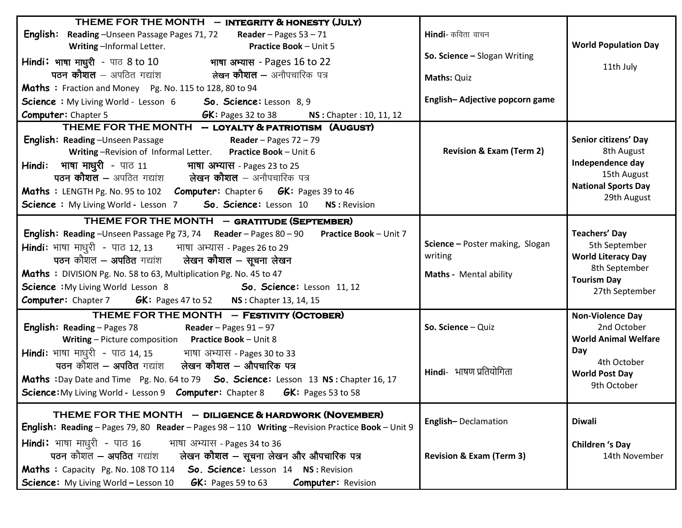| THEME FOR THE MONTH - INTEGRITY & HONESTY (JULY)                                                         |                                     |                             |
|----------------------------------------------------------------------------------------------------------|-------------------------------------|-----------------------------|
| English:<br>Reading-Unseen Passage Pages 71, 72 Reader - Pages 53 - 71                                   | <b>Hindi</b> - कविता वाचन           |                             |
| Writing-Informal Letter.<br><b>Practice Book - Unit 5</b>                                                |                                     | <b>World Population Day</b> |
| Hindi: भाषा माधुरी - पाठ 8 to 10 भाषा अभ्यास - Pages 16 to 22                                            | So. Science - Slogan Writing        |                             |
|                                                                                                          | <b>Maths: Quiz</b>                  | 11th July                   |
| Maths: Fraction and Money Pg. No. 115 to 128, 80 to 94                                                   |                                     |                             |
| <b>Science</b> : My Living World - Lesson 6 <b>50. Science:</b> Lesson 8, 9                              | English-Adjective popcorn game      |                             |
| <b>Computer: Chapter 5</b><br><b>GK:</b> Pages 32 to 38 <b>NS:</b> Chapter : 10, 11, 12                  |                                     |                             |
| THEME FOR THE MONTH - LOYALTY & PATRIOTISM (AUGUST)                                                      |                                     |                             |
| <b>English:</b> Reading – Unseen Passage Reader – Pages 72 – 79                                          |                                     | Senior citizens' Day        |
| Writing-Revision of Informal Letter. Practice Book - Unit 6                                              | <b>Revision &amp; Exam (Term 2)</b> | 8th August                  |
| Hindi: भाषा माधुरी - पाठ 11 भाषा अभ्यास - Pages 23 to 25                                                 |                                     | Independence day            |
| <b>पठन कौशल –</b> अपठित गद्यांश <b>लेखन कौशल</b> – अनौपचारिक पत्र                                        |                                     | 15th August                 |
| Maths : LENGTH Pg. No. 95 to 102 Computer: Chapter 6 GK: Pages 39 to 46                                  |                                     | <b>National Sports Day</b>  |
| <b>Science:</b> My Living World - Lesson 7 <b>So. Science:</b> Lesson 10 <b>NS: Revision</b>             |                                     | 29th August                 |
| THEME FOR THE MONTH - GRATITUDE (SEPTEMBER)                                                              |                                     |                             |
| <b>English: Reading</b> - Unseen Passage Pg 73, 74 Reader - Pages 80 - 90 Practice Book - Unit 7         |                                     | <b>Teachers' Day</b>        |
| <b>Hindi:</b> भाषा माधुरी - पाठ 12, 13 भाषा अभ्यास - Pages 26 to 29                                      | Science - Poster making, Slogan     | 5th September               |
| पठन कौशल – अपठित गद्यांश     लेखन <b>कौशल</b> – सूचना लेखन                                               | writing                             | <b>World Literacy Day</b>   |
| Maths : DIVISION Pg. No. 58 to 63, Multiplication Pg. No. 45 to 47                                       | Maths - Mental ability              | 8th September               |
| <b>Science:</b> My Living World Lesson 8 <b>So. Science:</b> Lesson 11, 12                               |                                     | <b>Tourism Day</b>          |
| <b>Computer:</b> Chapter 7 <b>GK:</b> Pages 47 to 52 <b>NS</b> : Chapter 13, 14, 15                      |                                     | 27th September              |
| THEME FOR THE MONTH - FESTIVITY (OCTOBER)                                                                |                                     | <b>Non-Violence Day</b>     |
| <b>English:</b> Reading – Pages 78 Reader – Pages $91 - 97$                                              | So. Science - Quiz                  | 2nd October                 |
| Writing - Picture composition  Practice Book - Unit 8                                                    |                                     | <b>World Animal Welfare</b> |
| Hindi: भाषा माधुरी - पाठ 14, 15 भाषा अभ्यास - Pages 30 to 33                                             |                                     | Day                         |
| पठन कौशल – अपठित गद्यांश करेखन कौशल – औपचारिक पत्र                                                       |                                     | 4th October                 |
| Maths :Day Date and Time Pg. No. 64 to 79 So. Science: Lesson 13 NS: Chapter 16, 17                      | Hindi- भाषण प्रतियोगिता             | <b>World Post Day</b>       |
| <b>Science:</b> My Living World - Lesson 9 <b>Computer:</b> Chapter 8 <b>GK:</b> Pages 53 to 58          |                                     | 9th October                 |
|                                                                                                          |                                     |                             |
| THEME FOR THE MONTH - DILIGENCE & HARDWORK (NOVEMBER)                                                    | English-Declamation                 | <b>Diwali</b>               |
| <b>English: Reading</b> – Pages 79, 80 Reader – Pages 98 – 110 Writing – Revision Practice Book – Unit 9 |                                     |                             |
| <b>Hindi:</b> भाषा माधुरी - पाठ 16<br>भाषा अभ्यास - Pages 34 to 36                                       |                                     | <b>Children 's Day</b>      |
| पठन कौशल - अपठित गद्यांश<br>लेखन कौशल – सूचना लेखन और औपचारिक पत्र                                       | <b>Revision &amp; Exam (Term 3)</b> | 14th November               |
| So. Science: Lesson 14 NS: Revision<br>Maths : Capacity Pg. No. 108 TO 114                               |                                     |                             |
| <b>Science:</b> My Living World - Lesson 10<br>$GK:$ Pages 59 to 63<br><b>Computer: Revision</b>         |                                     |                             |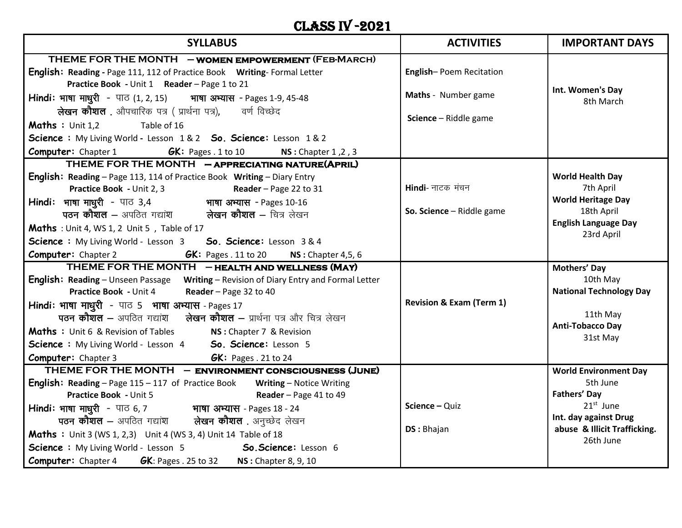## CLASS IV -2021

| <b>SYLLABUS</b>                                                                                                        | <b>ACTIVITIES</b>                   | <b>IMPORTANT DAYS</b>                    |
|------------------------------------------------------------------------------------------------------------------------|-------------------------------------|------------------------------------------|
| THEME FOR THE MONTH - WOMEN EMPOWERMENT (FEB-MARCH)                                                                    |                                     |                                          |
| English: Reading - Page 111, 112 of Practice Book Writing- Formal Letter                                               | English-Poem Recitation             |                                          |
| Practice Book - Unit 1 Reader - Page 1 to 21                                                                           |                                     | Int. Women's Day                         |
| Hindi: भाषा माधुरी - पाठ (1, 2, 15) भाषा अभ्यास - Pages 1-9, 45-48                                                     | Maths - Number game                 | 8th March                                |
| <b>लेखन कौशल</b> . औपचारिक पत्र ( प्रार्थना पत्र),      वर्ण विच्छेद                                                   | Science - Riddle game               |                                          |
| <b>Maths</b> : Unit $1.2$<br>Table of 16                                                                               |                                     |                                          |
| Science: My Living World - Lesson 1&2 So. Science: Lesson 1&2                                                          |                                     |                                          |
| <b>Computer:</b> Chapter 1 $GK:$ Pages . 1 to 10 $NS:$ Chapter 1,2,3                                                   |                                     |                                          |
| THEME FOR THE MONTH - APPRECIATING NATURE(APRIL)                                                                       |                                     |                                          |
| English: Reading - Page 113, 114 of Practice Book Writing - Diary Entry                                                |                                     | <b>World Health Day</b>                  |
| <b>Practice Book - Unit 2, 3</b><br><b>Reader</b> – Page 22 to 31                                                      | Hindi- नाटक मंचन                    | 7th April                                |
|                                                                                                                        | So. Science - Riddle game           | <b>World Heritage Day</b><br>18th April  |
|                                                                                                                        |                                     | <b>English Language Day</b>              |
| Maths : Unit 4, WS 1, 2 Unit 5, Table of 17                                                                            |                                     | 23rd April                               |
| Science: My Living World - Lesson 3 So. Science: Lesson 3 & 4                                                          |                                     |                                          |
| <b>Computer:</b> Chapter 2<br><b>GK:</b> Pages . 11 to 20 <b>NS:</b> Chapter 4,5, 6                                    |                                     |                                          |
| THEME FOR THE MONTH - HEALTH AND WELLNESS (MAY)                                                                        |                                     | Mothers' Day                             |
| English: Reading - Unseen Passage Writing - Revision of Diary Entry and Formal Letter                                  |                                     | 10th May                                 |
| <b>Practice Book - Unit 4</b><br>Reader - Page 32 to 40                                                                | <b>Revision &amp; Exam (Term 1)</b> | <b>National Technology Day</b>           |
| Hindi: भाषा माधुरी - पाठ 5 भाषा अभ्यास - Pages 17<br>पठन कौशल – अपठित गद्यांश कोखन कौशल – प्रार्थना पत्र और चित्र लेखन |                                     | 11th May                                 |
|                                                                                                                        |                                     | <b>Anti-Tobacco Day</b>                  |
| <b>Maths</b> : Unit 6 & Revision of Tables <b>NS</b> : Chapter 7 & Revision                                            |                                     | 31st May                                 |
| Science : My Living World - Lesson 4 So. Science: Lesson 5                                                             |                                     |                                          |
| <b>Computer:</b> Chapter 3 <b>GK:</b> Pages . 21 to 24<br>THEME FOR THE MONTH - ENVIRONMENT CONSCIOUSNESS (JUNE)       |                                     |                                          |
| <b>English: Reading</b> – Page 115 – 117 of Practice Book Writing – Notice Writing                                     |                                     | <b>World Environment Day</b><br>5th June |
| <b>Practice Book - Unit 5</b><br>Reader - Page 41 to 49                                                                |                                     | <b>Fathers' Day</b>                      |
| Hindi: भाषा माधुरी - पाठ 6, 7 भाषा अभ्यास - Pages 18 - 24                                                              | Science - Quiz                      | $21st$ June                              |
| पठन कौशल – अपठित गद्यांश     लेखन कौशल . अनुच्छेद लेखन                                                                 |                                     | Int. day against Drug                    |
| Maths : Unit 3 (WS 1, 2,3) Unit 4 (WS 3, 4) Unit 14 Table of 18                                                        | DS: Bhajan                          | abuse & Illicit Trafficking.             |
| Science: My Living World - Lesson 5<br>So. Science: Lesson 6                                                           |                                     | 26th June                                |
| <b>Computer:</b> Chapter 4 <b>GK</b> : Pages . 25 to 32 <b>NS</b> : Chapter 8, 9, 10                                   |                                     |                                          |
|                                                                                                                        |                                     |                                          |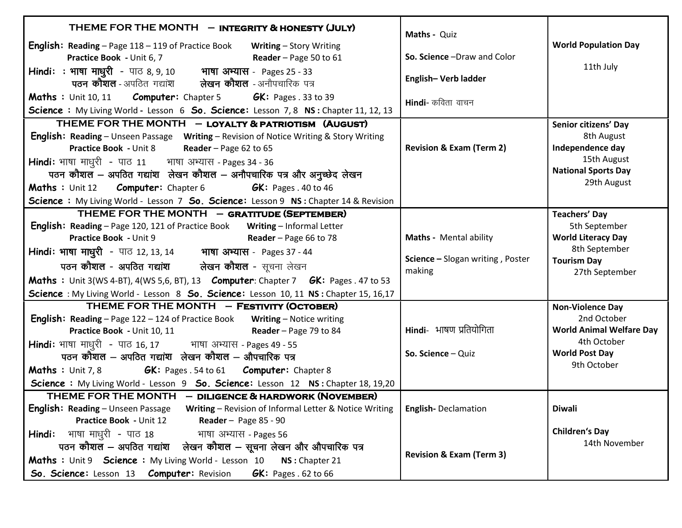| THEME FOR THE MONTH - INTEGRITY & HONESTY (JULY)<br><b>English:</b> Reading – Page 118 – 119 of Practice Book Writing – Story Writing<br>Practice Book - Unit 6, 7<br>Reader - Page 50 to 61<br>Hindi: : भाषा माधुरी - पाठ 8, 9, 10 भाषा अभ्यास - Pages 25 - 33<br>पठन कौशल - अपठित गद्यांश कोखन कौशल - अनौपचारिक पत्र<br><b>Maths</b> : Unit 10, 11 <b>Computer:</b> Chapter 5 <b>GK:</b> Pages . 33 to 39<br>Science: My Living World - Lesson 6 So. Science: Lesson 7, 8 NS: Chapter 11, 12, 13                                | Maths - Quiz<br>So. Science -Draw and Color<br>English-Verb ladder<br>Hindi- कविता वाचन | <b>World Population Day</b><br>11th July                                                                                         |
|-----------------------------------------------------------------------------------------------------------------------------------------------------------------------------------------------------------------------------------------------------------------------------------------------------------------------------------------------------------------------------------------------------------------------------------------------------------------------------------------------------------------------------------|-----------------------------------------------------------------------------------------|----------------------------------------------------------------------------------------------------------------------------------|
| THEME FOR THE MONTH - LOYALTY & PATRIOTISM (AUGUST)<br><b>English: Reading</b> – Unseen Passage Writing – Revision of Notice Writing & Story Writing<br><b>Practice Book - Unit 8</b> Reader - Page 62 to 65<br><b>Hindi:</b> भाषा माधुरी - पाठ 11 भाषा अभ्यास - Pages 34 - 36<br>पठन कौशल - अपठित गद्यांश लेखन कौशल - अनौपचारिक पत्र और अनुच्छेद लेखन<br><b>Maths : Unit 12 Computer: Chapter 6</b><br><b>GK:</b> Pages $.40$ to 46<br>Science : My Living World - Lesson 7 So. Science: Lesson 9 NS : Chapter 14 & Revision     | <b>Revision &amp; Exam (Term 2)</b>                                                     | Senior citizens' Day<br>8th August<br>Independence day<br>15th August<br><b>National Sports Day</b><br>29th August               |
| THEME FOR THE MONTH - GRATITUDE (SEPTEMBER)<br>English: Reading - Page 120, 121 of Practice Book Writing - Informal Letter<br>Practice Book - Unit 9<br><b>Reader</b> – Page 66 to 78<br>Hindi: भाषा माधुरी - पाठ 12, 13, 14 भाषा अभ्यास - Pages 37 - 44<br>पठन <b>कौशल - अपठित गद्यांश         लेखन कौशल -</b> सूचना लेखन<br><b>Maths</b> : Unit 3(WS 4-BT), 4(WS 5,6, BT), 13 <b>Computer</b> : Chapter 7 <b>GK:</b> Pages . 47 to 53<br>Science : My Living World - Lesson 8 So. Science: Lesson 10, 11 NS : Chapter 15, 16,17 | Maths - Mental ability<br>Science - Slogan writing, Poster<br>making                    | <b>Teachers' Day</b><br>5th September<br><b>World Literacy Day</b><br>8th September<br><b>Tourism Day</b><br>27th September      |
| THEME FOR THE MONTH - FESTIVITY (OCTOBER)<br><b>English:</b> Reading – Page 122 – 124 of Practice Book Writing – Notice writing<br><b>Practice Book</b> - Unit 10, 11 Reader – Page 79 to 84<br><b>Hindi:</b> भाषा माधुरी - पाठ 16, 17         भाषा अभ्यास - Pages 49 - 55<br>पठन कौशल – अपठित गद्यांश लेखन कौशल – औपचारिक पत्र<br><b>GK:</b> Pages . 54 to 61 <b>Computer:</b> Chapter 8<br><b>Maths</b> : Unit $7, 8$<br>Science : My Living World - Lesson 9 So. Science: Lesson 12 NS: Chapter 18, 19,20                      | Hindi- भाषण प्रतियोगिता<br>So. Science - Quiz                                           | <b>Non-Violence Day</b><br>2nd October<br><b>World Animal Welfare Day</b><br>4th October<br><b>World Post Day</b><br>9th October |
| THEME FOR THE MONTH - DILIGENCE & HARDWORK (NOVEMBER)<br><b>English: Reading - Unseen Passage</b><br>Writing - Revision of Informal Letter & Notice Writing<br>Practice Book - Unit 12<br>Reader - Page $85 - 90$<br><b>Hindi:</b> भाषा माधुरी - पाठ 18<br>भाषा अभ्यास - Pages 56<br>पठन कौशल – अपठित गद्यांश ) लेखन कौशल – सूचना लेखन और औपचारिक पत्र<br>Maths : Unit 9 Science : My Living World - Lesson 10<br>NS: Chapter 21<br>So. Science: Lesson 13 Computer: Revision<br>$GK:$ Pages . 62 to 66                           | <b>English-Declamation</b><br><b>Revision &amp; Exam (Term 3)</b>                       | <b>Diwali</b><br><b>Children's Day</b><br>14th November                                                                          |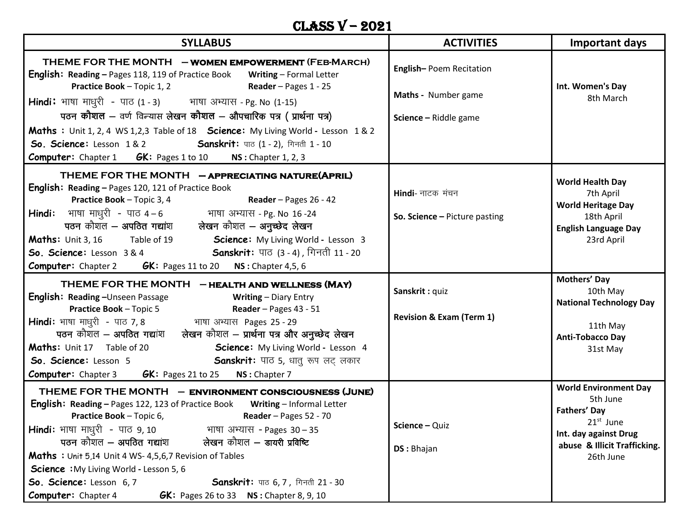## CLASS V – 2021

| <b>SYLLABUS</b>                                                                                                                                         | <b>ACTIVITIES</b>                   | Important days                 |
|---------------------------------------------------------------------------------------------------------------------------------------------------------|-------------------------------------|--------------------------------|
| THEME FOR THE MONTH - WOMEN EMPOWERMENT (FEB-MARCH)<br><b>English: Reading - Pages 118, 119 of Practice Book</b><br><b>Writing</b> - Formal Letter      | English-Poem Recitation             |                                |
| <b>Practice Book - Topic 1, 2</b><br><b>Reader</b> - Pages $1 - 25$                                                                                     | Maths - Number game                 | Int. Women's Day<br>8th March  |
| <b>Hindi:</b> भाषा माधुरी - पाठ (1 - 3) भाषा अभ्यास - Pg. No (1-15)                                                                                     |                                     |                                |
| पठन कौशल – वर्ण विन्यास लेखन कौशल – औपचारिक पत्र ( प्रार्थना पत्र)                                                                                      | Science - Riddle game               |                                |
| Maths : Unit 1, 2, 4 WS 1,2,3 Table of 18 Science: My Living World - Lesson 1 & 2                                                                       |                                     |                                |
| So. Science: Lesson 1 & 2 Sanskrit: पाठ (1 - 2), गिनती 1 - 10                                                                                           |                                     |                                |
| <b>Computer:</b> Chapter 1 <b>GK:</b> Pages 1 to 10 <b>NS</b> : Chapter 1, 2, 3                                                                         |                                     |                                |
| THEME FOR THE MONTH - APPRECIATING NATURE(APRIL)                                                                                                        |                                     | <b>World Health Day</b>        |
| English: Reading - Pages 120, 121 of Practice Book                                                                                                      | Hindi- नाटक मंचन                    | 7th April                      |
| <b>Practice Book</b> - Topic 3, 4 <b>Reader</b> - Pages 26 - 42                                                                                         |                                     | <b>World Heritage Day</b>      |
|                                                                                                                                                         | So. Science - Picture pasting       | 18th April                     |
|                                                                                                                                                         |                                     | <b>English Language Day</b>    |
| Maths: Unit 3, 16 Table of 19 Science: My Living World - Lesson 3                                                                                       |                                     | 23rd April                     |
| So. Science: Lesson 3 & 4 Sanskrit: पाठ (3 - 4), गिनती 11 - 20                                                                                          |                                     |                                |
| <b>Computer:</b> Chapter 2 <b>GK:</b> Pages 11 to 20 <b>NS</b> : Chapter 4,5, 6                                                                         |                                     |                                |
| THEME FOR THE MONTH - HEALTH AND WELLNESS (MAY)                                                                                                         | Sanskrit: quiz                      | Mothers' Day<br>10th May       |
| <b>English: Reading -</b> Unseen Passage <b>Constraint Writing - Diary Entry</b>                                                                        |                                     | <b>National Technology Day</b> |
| <b>Practice Book - Topic 5</b><br>Reader - Pages 43 - 51                                                                                                | <b>Revision &amp; Exam (Term 1)</b> |                                |
| <b>Hindi:</b> भाषा माधुरी - पाठ 7, 8               भाषा अभ्यास Pages 25 - 29<br>पठन कौशल — अपठित गद्यांश    लेखन कौशल — प्रार्थना पत्र और अनुच्छेद लेखन |                                     | 11th May                       |
|                                                                                                                                                         |                                     | <b>Anti-Tobacco Day</b>        |
| <b>Maths:</b> Unit 17 Table of 20<br>Science: My Living World - Lesson 4                                                                                |                                     | 31st May                       |
| <b>Sanskrit:</b> पाठ 5, धातु रूप लट् लकार<br>So. Science: Lesson 5                                                                                      |                                     |                                |
| <b>Computer:</b> Chapter 3 <b>GK:</b> Pages 21 to 25<br>NS: Chapter 7                                                                                   |                                     | <b>World Environment Day</b>   |
| THEME FOR THE MONTH - ENVIRONMENT CONSCIOUSNESS (JUNE)                                                                                                  |                                     | 5th June                       |
| <b>English: Reading - Pages 122, 123 of Practice Book Writing - Informal Letter</b>                                                                     |                                     | Fathers' Day                   |
| <b>Practice Book - Topic 6,</b><br>Reader - Pages 52 - 70                                                                                               | Science - Quiz                      | 21 <sup>st</sup> June          |
| <b>Hindi:</b> भाषा माधुरी - पाठ 9, 10<br>भाषा अभ्यास - Pages 30–35<br>लेखन कौशल – डायरी प्रविष्टि<br>पठन कौशल – अपठित गद्यांश                           |                                     | Int. day against Drug          |
|                                                                                                                                                         | DS: Bhajan                          | abuse & Illicit Trafficking.   |
| Maths : Unit 5,14 Unit 4 WS- 4,5,6,7 Revision of Tables<br><b>Science</b> : My Living World - Lesson 5, 6                                               |                                     | 26th June                      |
| So. Science: Lesson 6, 7<br>Sanskrit: पाठ 6, 7, गिनती 21 - 30                                                                                           |                                     |                                |
| Computer: Chapter 4<br><b>GK:</b> Pages 26 to 33 $NS:$ Chapter 8, 9, 10                                                                                 |                                     |                                |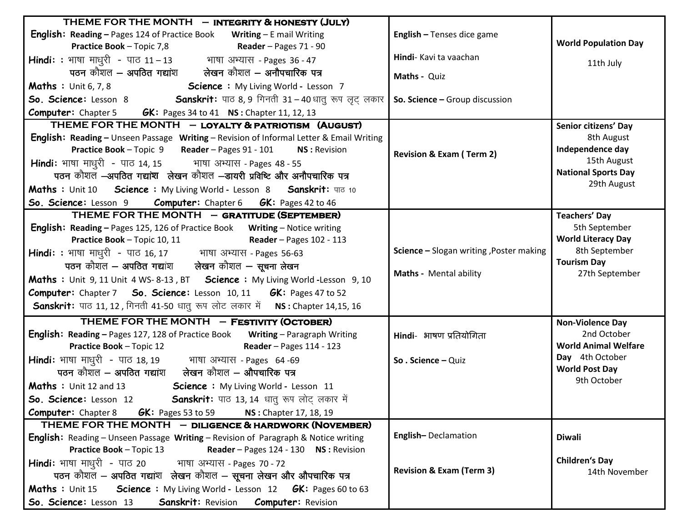| THEME FOR THE MONTH - INTEGRITY & HONESTY (JULY)                                                                                       |                                          |                             |
|----------------------------------------------------------------------------------------------------------------------------------------|------------------------------------------|-----------------------------|
| <b>English: Reading - Pages 124 of Practice Book Writing - E mail Writing</b>                                                          | English - Tenses dice game               |                             |
| <b>Practice Book</b> - Topic 7,8 Reader - Pages 71 - 90                                                                                |                                          | <b>World Population Day</b> |
| <b>Hindi:</b> : भाषा माधुरी - पाठ 11–13         भाषा अभ्यास - Pages 36 - 47<br>पठन कौशल – अपठित गद्यांश     लेखन कौशल – अनौपचारिक पत्र | Hindi- Kavi ta vaachan                   | 11th July                   |
|                                                                                                                                        | Maths - Quiz                             |                             |
| Maths: Unit 6, 7, 8 Science: My Living World - Lesson 7                                                                                |                                          |                             |
| So. Science: Lesson 8 Sanskrit: पाठ 8, 9 गिनती 31 – 40 धातु रूप लृट् लकार                                                              | So. Science - Group discussion           |                             |
| <b>Computer:</b> Chapter 5 <b>GK:</b> Pages 34 to 41 <b>NS</b> : Chapter 11, 12, 13                                                    |                                          |                             |
| THEME FOR THE MONTH - LOYALTY & PATRIOTISM (AUGUST)                                                                                    |                                          | Senior citizens' Day        |
| <b>English: Reading - Unseen Passage Writing - Revision of Informal Letter &amp; Email Writing</b>                                     |                                          | 8th August                  |
| Practice Book - Topic 9 Reader - Pages 91 - 101<br><b>NS: Revision</b>                                                                 | <b>Revision &amp; Exam (Term 2)</b>      | Independence day            |
| Hindi: भाषा माधुरी - पाठ 14, 15 भाषा अभ्यास - Pages 48 - 55                                                                            |                                          | 15th August                 |
| पठन कौशल -अपठित गद्यांश लेखन कौशल -डायरी प्रविष्टि और अनौपचारिक पत्र                                                                   |                                          | <b>National Sports Day</b>  |
| Maths: Unit 10 Science: My Living World - Lesson 8 Sanskrit: पाठ 10                                                                    |                                          | 29th August                 |
| <b>So. Science:</b> Lesson 9 <b>Computer:</b> Chapter 6 <b>GK:</b> Pages 42 to 46                                                      |                                          |                             |
| THEME FOR THE MONTH - GRATITUDE (SEPTEMBER)                                                                                            |                                          | <b>Teachers' Day</b>        |
| <b>English: Reading - Pages 125, 126 of Practice Book</b> Writing - Notice writing                                                     |                                          | 5th September               |
| <b>Reader</b> - Pages 102 - 113<br><b>Practice Book - Topic 10, 11</b>                                                                 |                                          | <b>World Literacy Day</b>   |
| <b>Hindi: :</b> भाषा माधुरी - पाठ 16, 17         भाषा अभ्यास - Pages 56-63                                                             | Science - Slogan writing , Poster making | 8th September               |
| पठन कौशल - अपठित गद्यांश लेखन कौशल - सूचना लेखन                                                                                        |                                          | <b>Tourism Day</b>          |
| Maths : Unit 9, 11 Unit 4 WS-8-13, BT Science : My Living World -Lesson 9, 10                                                          | Maths - Mental ability                   | 27th September              |
| Computer: Chapter 7 So. Science: Lesson 10, 11 GK: Pages 47 to 52                                                                      |                                          |                             |
| Sanskrit: पाठ 11, 12, गिनती 41-50 धातु रूप लोट लकार में NS: Chapter 14,15, 16                                                          |                                          |                             |
| THEME FOR THE MONTH - FESTIVITY (OCTOBER)                                                                                              |                                          | <b>Non-Violence Day</b>     |
| <b>English: Reading - Pages 127, 128 of Practice Book Writing - Paragraph Writing</b>                                                  | Hindi- भाषण प्रतियोगिता                  | 2nd October                 |
| <b>Practice Book - Topic 12</b><br><b>Reader</b> - Pages 114 - 123                                                                     |                                          | <b>World Animal Welfare</b> |
|                                                                                                                                        | So. Science - Quiz                       | Day 4th October             |
| <b>Hindi:</b> भाषा माधुरी - पाठ 18, 19         भाषा अभ्यास - Pages  64 -69<br>पठन कौशल — अपठित गद्यांश     लेखन कौशल — औपचारिक पत्र    |                                          | <b>World Post Day</b>       |
| <b>Maths</b> : Unit 12 and 13 <b>Science</b> : My Living World - Lesson 11                                                             |                                          | 9th October                 |
| So. Science: Lesson 12 Sanskrit: पाठ 13, 14 धातु रूप लोट् लकार में                                                                     |                                          |                             |
| <b>Computer:</b> Chapter 8 <b>GK:</b> Pages 53 to 59<br>NS: Chapter 17, 18, 19                                                         |                                          |                             |
| THEME FOR THE MONTH - DILIGENCE & HARDWORK (NOVEMBER)                                                                                  |                                          |                             |
| English: Reading - Unseen Passage Writing - Revision of Paragraph & Notice writing                                                     | English-Declamation                      | <b>Diwali</b>               |
| Reader - Pages 124 - 130 NS : Revision<br><b>Practice Book - Topic 13</b>                                                              |                                          |                             |
| Hindi: भाषा माधुरी - पाठ 20 भाषा अभ्यास - Pages 70 - 72                                                                                |                                          | <b>Children's Day</b>       |
| पठन कौशल - अपठित गद्यांश लेखन कौशल - सूचना लेखन और औपचारिक पत्र                                                                        | <b>Revision &amp; Exam (Term 3)</b>      | 14th November               |
| Maths : Unit 15 Science : My Living World - Lesson 12 GK: Pages 60 to 63                                                               |                                          |                             |
| So. Science: Lesson 13<br><b>Sanskrit: Revision Computer: Revision</b>                                                                 |                                          |                             |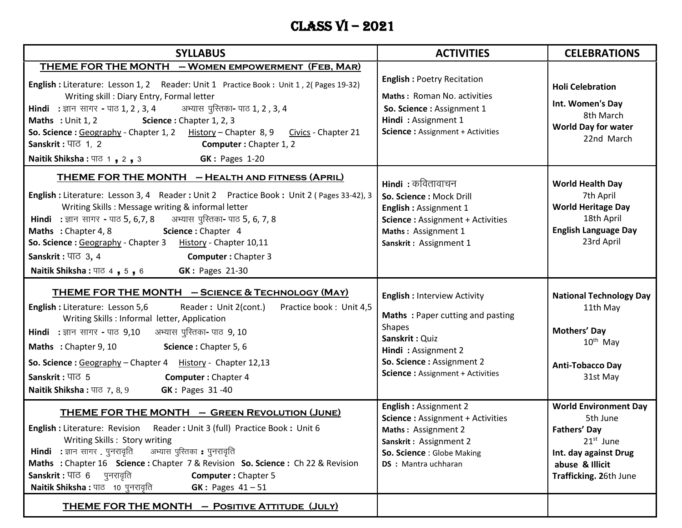## Class VI – 2021

| <b>SYLLABUS</b>                                                                                                                                                                                                                                                                                                                                                                                                                                                                                                                                       | <b>ACTIVITIES</b>                                                                                                                                                                                         | <b>CELEBRATIONS</b>                                                                                                                                  |
|-------------------------------------------------------------------------------------------------------------------------------------------------------------------------------------------------------------------------------------------------------------------------------------------------------------------------------------------------------------------------------------------------------------------------------------------------------------------------------------------------------------------------------------------------------|-----------------------------------------------------------------------------------------------------------------------------------------------------------------------------------------------------------|------------------------------------------------------------------------------------------------------------------------------------------------------|
| THEME FOR THE MONTH - WOMEN EMPOWERMENT (FEB, MAR)<br>English : Literature: Lesson 1, 2 Reader: Unit 1 Practice Book : Unit 1, 2(Pages 19-32)<br>Writing skill: Diary Entry, Formal letter<br>Hindi : ज्ञान सागर - पाठ 1, 2, 3, 4 अभ्यास पुरितका- पाठ 1, 2, 3, 4<br>Maths: Unit 1, 2<br>Science: Chapter 1, 2, 3<br>So. Science: Geography - Chapter 1, 2 History - Chapter 8, 9 Civics - Chapter 21<br>Sanskrit: $\Pi \subset \{1, 2\}$<br><b>Computer:</b> Chapter 1, 2<br><b>GK: Pages 1-20</b><br><b>Naitik Shiksha</b> : पाठ 1, 2, 3             | <b>English: Poetry Recitation</b><br>Maths: Roman No. activities<br>So. Science : Assignment 1<br>Hindi: Assignment 1<br><b>Science: Assignment + Activities</b>                                          | <b>Holi Celebration</b><br>Int. Women's Day<br>8th March<br><b>World Day for water</b><br>22nd March                                                 |
| <b>THEME FOR THE MONTH - HEALTH AND FITNESS (APRIL)</b><br>English : Literature: Lesson 3, 4 Reader : Unit 2 Practice Book : Unit 2 (Pages 33-42), 3<br>Writing Skills: Message writing & informal letter<br>Hindi : ज्ञान सागर - पाठ 5, 6,7, 8 अभ्यास पुस्तिका- पाठ 5, 6, 7, 8<br>Science: Chapter 4<br>Maths: Chapter 4, 8<br>So. Science: Geography - Chapter 3 History - Chapter 10,11<br>Sanskrit: $\Pi\overline{G}$ 3, 4<br><b>Computer: Chapter 3</b><br><b>GK: Pages 21-30</b><br><b>Naitik Shiksha: <math>\Pi</math><sup>6</sup> 4, 5, 6</b> | <b>Hindi</b> : कवितावाचन<br>So. Science: Mock Drill<br>English: Assignment 1<br><b>Science: Assignment + Activities</b><br>Maths: Assignment 1<br>Sanskrit: Assignment 1                                  | <b>World Health Day</b><br>7th April<br><b>World Heritage Day</b><br>18th April<br><b>English Language Day</b><br>23rd April                         |
| THEME FOR THE MONTH - SCIENCE & TECHNOLOGY (MAY)<br>English : Literature: Lesson 5,6<br>Reader: Unit 2(cont.)<br>Practice book: Unit 4,5<br>Writing Skills : Informal letter, Application<br><b>Hindi</b> : ज्ञान सागर - पाठ 9,10 अभ्यास पुरितका- पाठ 9, 10<br>Maths: Chapter 9, 10<br>Science: Chapter 5, 6<br>So. Science: Geography - Chapter 4 History - Chapter 12,13<br>Sanskrit: पाठ 5<br><b>Computer: Chapter 4</b><br><b>GK: Pages 31-40</b><br><b>Naitik Shiksha: पाठ 7, 8, 9</b>                                                           | <b>English: Interview Activity</b><br>Maths: Paper cutting and pasting<br><b>Shapes</b><br>Sanskrit: Quiz<br>Hindi: Assignment 2<br>So. Science : Assignment 2<br><b>Science: Assignment + Activities</b> | <b>National Technology Day</b><br>11th May<br>Mothers' Day<br>$10^{th}$ May<br><b>Anti-Tobacco Day</b><br>31st May                                   |
| <b>THEME FOR THE MONTH - GREEN REVOLUTION (JUNE)</b><br>English : Literature: Revision Reader : Unit 3 (full) Practice Book : Unit 6<br>Writing Skills: Story writing<br><b>Hindi</b> : ज्ञान सागर . पुनरावृति अभ्यास पुस्तिका : पुनरावृति<br>Maths : Chapter 16 Science : Chapter 7 & Revision So. Science : Ch 22 & Revision<br>Sanskrit: पाठ 6 पुनरावृति<br><b>Computer: Chapter 5</b><br>Naitik Shiksha : पाठ 10 पुनरावृति<br>$GK: Pages 41-51$<br><b>THEME FOR THE MONTH - POSITIVE ATTITUDE (JULY)</b>                                          | <b>English: Assignment 2</b><br><b>Science: Assignment + Activities</b><br>Maths: Assignment 2<br>Sanskrit: Assignment 2<br>So. Science : Globe Making<br><b>DS</b> : Mantra uchharan                     | <b>World Environment Day</b><br>5th June<br><b>Fathers' Day</b><br>$21st$ June<br>Int. day against Drug<br>abuse & Illicit<br>Trafficking. 26th June |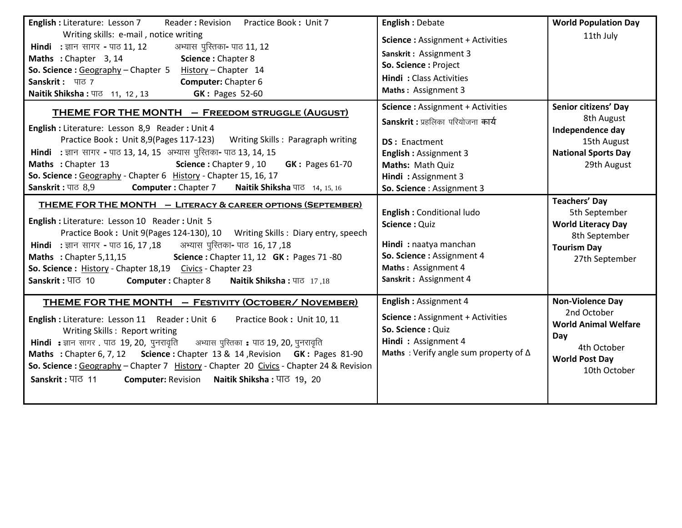| English : Literature: Lesson 7<br>Reader: Revision Practice Book: Unit 7<br>Writing skills: e-mail, notice writing<br>अभ्यास पुस्तिका- पाठ 11, 12<br><b>Hindi :</b> ज्ञान सागर - पाठ 11, 12<br>Maths : Chapter 3, 14<br>Science: Chapter 8<br>So. Science: Geography - Chapter 5 History - Chapter 14<br>Sanskrit: पाठ 7<br>Computer: Chapter 6<br><b>GK: Pages 52-60</b><br><b>Naitik Shiksha :</b> पाठ 11, 12, 13                                                                                                                                                                                                                                                                                                                                       | <b>English: Debate</b><br><b>Science: Assignment + Activities</b><br>Sanskrit: Assignment 3<br>So. Science: Project<br><b>Hindi:</b> Class Activities<br>Maths: Assignment 3                                                                                                         | <b>World Population Day</b><br>11th July                                                                                                                                                                                        |
|-----------------------------------------------------------------------------------------------------------------------------------------------------------------------------------------------------------------------------------------------------------------------------------------------------------------------------------------------------------------------------------------------------------------------------------------------------------------------------------------------------------------------------------------------------------------------------------------------------------------------------------------------------------------------------------------------------------------------------------------------------------|--------------------------------------------------------------------------------------------------------------------------------------------------------------------------------------------------------------------------------------------------------------------------------------|---------------------------------------------------------------------------------------------------------------------------------------------------------------------------------------------------------------------------------|
| <b>THEME FOR THE MONTH - FREEDOM STRUGGLE (AUGUST)</b><br>English : Literature: Lesson 8,9 Reader : Unit 4<br>Practice Book: Unit 8,9(Pages 117-123) Writing Skills: Paragraph writing<br>Hindi : ज्ञान सागर - पाठ 13, 14, 15 अभ्यास पुस्तिका- पाठ 13, 14, 15<br>Maths: Chapter 13<br>Science: Chapter 9, 10 GK: Pages 61-70<br>So. Science: Geography - Chapter 6 History - Chapter 15, 16, 17<br>Sanskrit: पाठ 8,9<br><b>Computer: Chapter 7 Naitik Shiksha पाठ</b> 14, 15, 16<br>THEME FOR THE MONTH - LITERACY & CAREER OPTIONS (SEPTEMBER)<br>English : Literature: Lesson 10 Reader : Unit 5<br>Practice Book: Unit 9(Pages 124-130), 10 Writing Skills: Diary entry, speech<br>Hindi : ज्ञान सागर - पाठ 16, 17, 18 अभ्यास पुस्तिका- पाठ 16, 17, 18 | <b>Science: Assignment + Activities</b><br>Sanskrit : प्रहलिका परियोजना कार्य<br><b>DS: Enactment</b><br><b>English: Assignment 3</b><br>Maths: Math Quiz<br>Hindi: Assignment 3<br>So. Science: Assignment 3<br>English: Conditional ludo<br>Science: Quiz<br>Hindi: naatya manchan | Senior citizens' Day<br>8th August<br>Independence day<br>15th August<br><b>National Sports Day</b><br>29th August<br><b>Teachers' Day</b><br>5th September<br><b>World Literacy Day</b><br>8th September<br><b>Tourism Day</b> |
| Maths: Chapter 5,11,15 Science: Chapter 11, 12 GK: Pages 71 -80<br>So. Science: History - Chapter 18,19 Civics - Chapter 23<br>Sanskrit: पाठ 10 Computer: Chapter 8<br>Naitik Shiksha: पाठ 17,18<br><b>THEME FOR THE MONTH - FESTIVITY (OCTOBER/ NOVEMBER)</b><br>English : Literature: Lesson 11 Reader : Unit 6<br>Practice Book: Unit 10, 11<br>Writing Skills: Report writing<br>Hindi : ज्ञान सागर . पाठ 19, 20, पुनरावृति अभ्यास पुस्तिका : पाठ 19, 20, पुनरावृति<br>Maths : Chapter 6, 7, 12 Science : Chapter 13 & 14, Revision GK : Pages 81-90<br>So. Science: Geography - Chapter 7 History - Chapter 20 Civics - Chapter 24 & Revision<br>Sanskrit: पाठ 11<br>Computer: Revision Naitik Shiksha: पाठ 19, 20                                   | So. Science: Assignment 4<br>Maths: Assignment 4<br>Sanskrit: Assignment 4<br>English: Assignment 4<br><b>Science: Assignment + Activities</b><br>So. Science: Quiz<br>Hindi: Assignment 4<br>Maths: Verify angle sum property of $\Delta$                                           | 27th September<br><b>Non-Violence Day</b><br>2nd October<br><b>World Animal Welfare</b><br>Day<br>4th October<br><b>World Post Day</b><br>10th October                                                                          |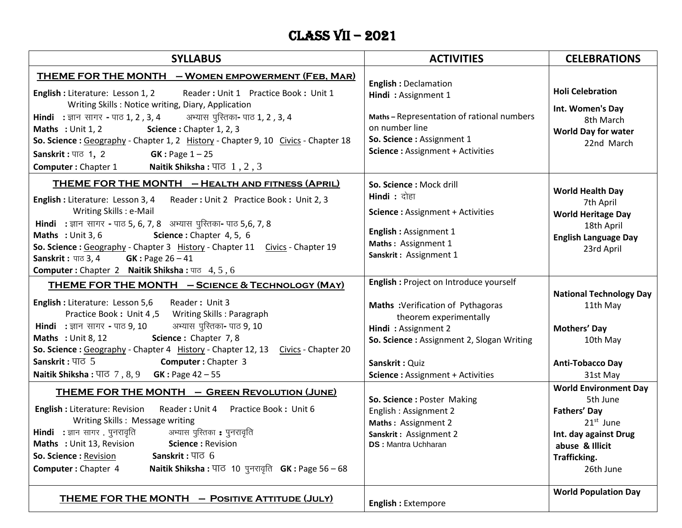# Class VII – 2021

| <b>SYLLABUS</b>                                                                                                                                                                                                                                                                                                                                                                                                                                                                                                                                                                              | <b>ACTIVITIES</b>                                                                                                                                                                                                                        | <b>CELEBRATIONS</b>                                                                                                                                     |
|----------------------------------------------------------------------------------------------------------------------------------------------------------------------------------------------------------------------------------------------------------------------------------------------------------------------------------------------------------------------------------------------------------------------------------------------------------------------------------------------------------------------------------------------------------------------------------------------|------------------------------------------------------------------------------------------------------------------------------------------------------------------------------------------------------------------------------------------|---------------------------------------------------------------------------------------------------------------------------------------------------------|
| <u> THEME FOR THE MONTH     – WOMEN EMPOWERMENT (FEB, MAR)</u><br>English : Literature: Lesson 1, 2 Reader : Unit 1 Practice Book : Unit 1<br>Writing Skills: Notice writing, Diary, Application<br>Hindi : ज्ञान सागर - पाठ 1, 2, 3, 4 अभ्यास पुरितका- पाठ 1, 2, 3, 4<br>Science: Chapter 1, 2, 3<br><b>Maths</b> : Unit $1, 2$<br>So. Science : Geography - Chapter 1, 2 History - Chapter 9, 10 Civics - Chapter 18<br>Sanskrit: $\Pi$ <sup><math>\sigma</math></sup> 1, 2<br><b>GK</b> : Page $1 - 25$<br><b>Computer:</b> Chapter 1 <b>Naitik Shiksha:</b> $\Pi$ $\overline{0}$ 1, 2, 3 | <b>English: Declamation</b><br>Hindi: Assignment 1<br>Maths-Representation of rational numbers<br>on number line<br>So. Science: Assignment 1<br>Science: Assignment + Activities                                                        | <b>Holi Celebration</b><br>Int. Women's Day<br>8th March<br><b>World Day for water</b><br>22nd March                                                    |
| <b>THEME FOR THE MONTH - HEALTH AND FITNESS (APRIL)</b><br>English : Literature: Lesson 3, 4 Reader : Unit 2 Practice Book : Unit 2, 3<br>Writing Skills : e-Mail<br>Hindi : ज्ञान सागर - पाठ 5, 6, 7, 8 अभ्यास पुरितका- पाठ 5,6, 7, 8<br>Maths: Unit 3, 6<br>Science: Chapter 4, 5, 6<br>So. Science : Geography - Chapter 3 History - Chapter 11 Civics - Chapter 19<br><b>Sanskrit:</b> $\pi$ 3, 4 <b>GK:</b> Page 26 - 41<br><b>Computer:</b> Chapter 2 Naitik Shiksha: $\Pi$ = 4, 5, 6                                                                                                  | So. Science: Mock drill<br><b>Hindi</b> : दोहा<br><b>Science: Assignment + Activities</b><br>English: Assignment 1<br>Maths: Assignment 1<br>Sanskrit: Assignment 1                                                                      | <b>World Health Day</b><br>7th April<br><b>World Heritage Day</b><br>18th April<br><b>English Language Day</b><br>23rd April                            |
| THEME FOR THE MONTH - SCIENCE & TECHNOLOGY (MAY)<br>English : Literature: Lesson 5,6<br>Reader: Unit 3<br>Practice Book: Unit 4,5 Writing Skills: Paragraph<br>अभ्यास पुरितका- पाठ 9, 10<br><b>Hindi :</b> ज्ञान सागर - पाठ 9, 10<br>Science: Chapter 7, 8<br><b>Maths</b> : Unit 8, 12<br>So. Science: Geography - Chapter 4 History - Chapter 12, 13 Civics - Chapter 20<br>Sanskrit: $\Pi$ $\sigma$ 5<br><b>Computer: Chapter 3</b><br><b>Naitik Shiksha: <math>\overline{47}</math>, 8, 9 GK: Page 42 - 55</b>                                                                           | English : Project on Introduce yourself<br>Maths : Verification of Pythagoras<br>theorem experimentally<br>Hindi: Assignment 2<br>So. Science: Assignment 2, Slogan Writing<br>Sanskrit: Quiz<br><b>Science: Assignment + Activities</b> | <b>National Technology Day</b><br>11th May<br>Mothers' Day<br>10th May<br><b>Anti-Tobacco Day</b><br>31st May                                           |
| <b>THEME FOR THE MONTH - GREEN REVOLUTION (JUNE)</b><br><b>English:</b> Literature: Revision Reader: Unit 4<br>Practice Book: Unit 6<br>Writing Skills: Message writing<br><b>Hindi</b> : ज्ञान सागर . पुनरावृति         अभ्यास पुस्तिका : पुनरावृति<br>Maths: Unit 13, Revision<br>Science: Revision<br>Sanskrit: $\Pi$ $\sigma$ 6<br>So. Science: Revision<br>Computer: Chapter 4<br><b>Naitik Shiksha: पाठ 10 पुनरावृति <math>GK:</math> Page 56 – 68</b>                                                                                                                                 | So. Science : Poster Making<br>English: Assignment 2<br>Maths: Assignment 2<br>Sanskrit: Assignment 2<br><b>DS: Mantra Uchharan</b>                                                                                                      | <b>World Environment Day</b><br>5th June<br><b>Fathers' Day</b><br>$21st$ June<br>Int. day against Drug<br>abuse & Illicit<br>Trafficking.<br>26th June |
| THEME FOR THE MONTH - POSITIVE ATTITUDE (JULY)                                                                                                                                                                                                                                                                                                                                                                                                                                                                                                                                               | <b>English: Extempore</b>                                                                                                                                                                                                                | <b>World Population Day</b>                                                                                                                             |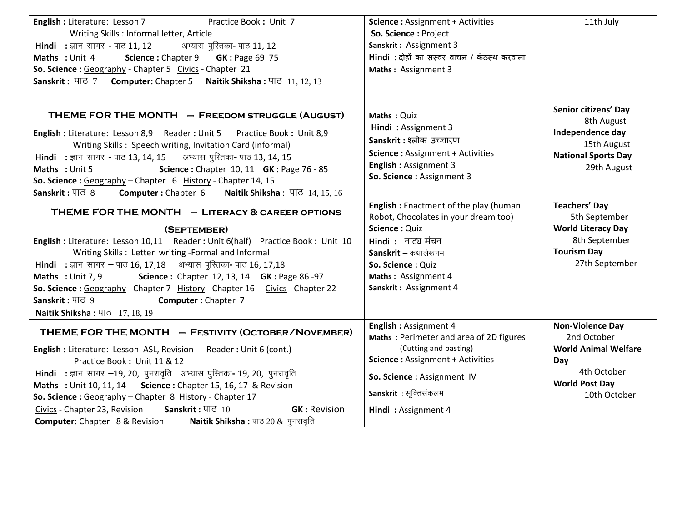| <b>English:</b> Literature: Lesson 7<br>Practice Book: Unit 7<br>Writing Skills : Informal letter, Article<br><b>Hindi:</b> ज्ञान सागर - पाठ 11, 12<br>अभ्यास पुरितका- पाठ 11, 12<br>Science: Chapter 9 GK: Page 69 75<br><b>Maths: Unit 4</b><br>So. Science: Geography - Chapter 5 Civics - Chapter 21<br>Sanskrit: पाठ 7 Computer: Chapter 5 Naitik Shiksha: पाठ 11, 12, 13                                                                                                                                                                  | <b>Science: Assignment + Activities</b><br>So. Science: Project<br>Sanskrit: Assignment 3<br>Hindi : दोहों का सस्वर वाचन / कंठस्थ करवाना<br>Maths: Assignment 3                                                     | 11th July                                                                                                                            |
|-------------------------------------------------------------------------------------------------------------------------------------------------------------------------------------------------------------------------------------------------------------------------------------------------------------------------------------------------------------------------------------------------------------------------------------------------------------------------------------------------------------------------------------------------|---------------------------------------------------------------------------------------------------------------------------------------------------------------------------------------------------------------------|--------------------------------------------------------------------------------------------------------------------------------------|
| THEME FOR THE MONTH - FREEDOM STRUGGLE (AUGUST)<br>English : Literature: Lesson 8,9 Reader : Unit 5 Practice Book : Unit 8,9<br>Writing Skills: Speech writing, Invitation Card (informal)<br>Hindi : ज्ञान सागर - पाठ 13, 14, 15 अभ्यास पुरितका- पाठ 13, 14, 15<br>Science: Chapter 10, 11 GK: Page 76 - 85<br>Maths: Unit 5<br>So. Science: Geography - Chapter 6 History - Chapter 14, 15<br>Sanskrit: पाठ 8<br>Computer: Chapter 6 Naitik Shiksha: पाठ 14, 15, 16                                                                           | Maths: Quiz<br>Hindi: Assignment 3<br>Sanskrit: श्लोक उच्चारण<br><b>Science: Assignment + Activities</b><br><b>English: Assignment 3</b><br>So. Science: Assignment 3                                               | Senior citizens' Day<br>8th August<br>Independence day<br>15th August<br><b>National Sports Day</b><br>29th August                   |
| <b>THEME FOR THE MONTH - LITERACY &amp; CAREER OPTIONS</b><br>(SEPTEMBER)<br>English : Literature: Lesson 10,11 Reader : Unit 6(half) Practice Book : Unit 10<br>Writing Skills: Letter writing -Formal and Informal<br>Hindi : ज्ञान सागर - पाठ 16, 17,18 अभ्यास पुस्तिका- पाठ 16, 17,18<br>Science: Chapter 12, 13, 14 GK: Page 86-97<br>Maths: Unit 7, 9<br>So. Science: Geography - Chapter 7 History - Chapter 16 Civics - Chapter 22<br>Sanskrit: पाठ 9<br><b>Computer: Chapter 7</b><br>Naitik Shiksha: पाठ 17, 18, 19                   | English: Enactment of the play (human<br>Robot, Chocolates in your dream too)<br>Science: Quiz<br>Hindi : नाट्य मंचन<br>Sanskrit – कथालेखनम<br>So. Science: Quiz<br>Maths: Assignment 4<br>Sanskrit: Assignment 4   | <b>Teachers' Day</b><br>5th September<br><b>World Literacy Day</b><br>8th September<br><b>Tourism Day</b><br>27th September          |
| THEME FOR THE MONTH - FESTIVITY (OCTOBER/NOVEMBER)<br><b>English:</b> Literature: Lesson ASL, Revision Reader: Unit 6 (cont.)<br>Practice Book: Unit 11 & 12<br>Hindi : ज्ञान सागर -19, 20, पुनरावृति अभ्यास पुरितका- 19, 20, पुनरावृति<br><b>Maths</b> : Unit 10, 11, 14 Science : Chapter 15, 16, 17 & Revision<br>So. Science: Geography - Chapter 8 History - Chapter 17<br>Civics - Chapter 23, Revision<br>Sanskrit: पाठ 10<br><b>GK: Revision</b><br><b>Computer:</b> Chapter 8 & Revision<br><b>Naitik Shiksha :</b> पाठ 20 & पुनरावृति | English: Assignment 4<br>Maths: Perimeter and area of 2D figures<br>(Cutting and pasting)<br><b>Science: Assignment + Activities</b><br>So. Science : Assignment IV<br>Sanskrit: सूक्तिसंकलम<br>Hindi: Assignment 4 | <b>Non-Violence Day</b><br>2nd October<br><b>World Animal Welfare</b><br>Day<br>4th October<br><b>World Post Day</b><br>10th October |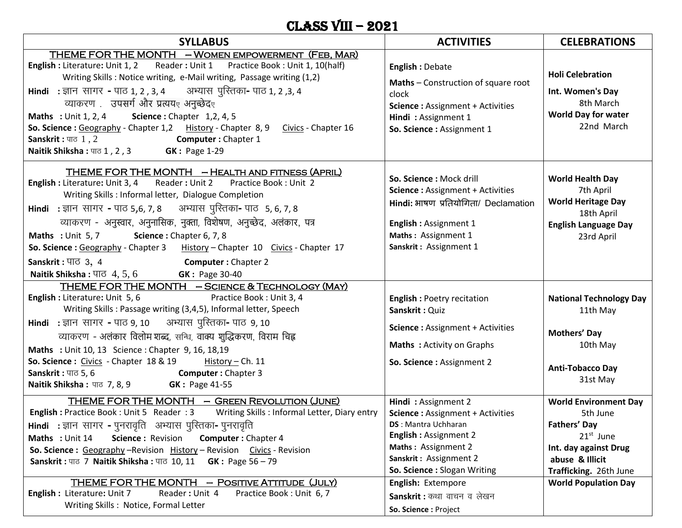## Class vIII – 2021

| <b>SYLLABUS</b>                                                                                                                                                                                                                                                                                                                                                                                                                                                                                                                                                                                            | <b>ACTIVITIES</b>                                                                                                                                                                                                                                                                         | <b>CELEBRATIONS</b>                                                                                                                                                                 |
|------------------------------------------------------------------------------------------------------------------------------------------------------------------------------------------------------------------------------------------------------------------------------------------------------------------------------------------------------------------------------------------------------------------------------------------------------------------------------------------------------------------------------------------------------------------------------------------------------------|-------------------------------------------------------------------------------------------------------------------------------------------------------------------------------------------------------------------------------------------------------------------------------------------|-------------------------------------------------------------------------------------------------------------------------------------------------------------------------------------|
| THEME FOR THE MONTH - WOMEN EMPOWERMENT (FEB, MAR)<br>English : Literature: Unit 1, 2 Reader : Unit 1 Practice Book : Unit 1, 10(half)<br>Writing Skills: Notice writing, e-Mail writing, Passage writing (1,2)<br>Hindi : ज्ञान सागर - पाठ 1, 2, 3, 4 अभ्यास पुरितका- पाठ 1, 2, 3, 4<br>व्याकरण .   उपसर्ग और प्रत्ययर अनुच्छेदर<br><b>Maths</b> : Unit 1, 2, 4 <b>Science</b> : Chapter 1, 2, 4, 5<br>So. Science: Geography - Chapter 1,2 History - Chapter 8, 9 Civics - Chapter 16<br>Sanskrit: पाठ 1, 2 Computer: Chapter 1<br>Naitik Shiksha: पाठ 1, 2, 3 <b>GK: Page 1-29</b>                      | <b>English: Debate</b><br>Maths - Construction of square root<br>clock<br><b>Science: Assignment + Activities</b><br>Hindi: Assignment 1<br>So. Science : Assignment 1                                                                                                                    | <b>Holi Celebration</b><br>Int. Women's Day<br>8th March<br><b>World Day for water</b><br>22nd March                                                                                |
| THEME FOR THE MONTH - HEALTH AND FITNESS (APRIL)<br>Reader: Unit 2 Practice Book: Unit 2<br><b>English: Literature: Unit 3, 4</b><br>Writing Skills : Informal letter, Dialogue Completion<br>Hindi : ज्ञान सागर - पाठ 5,6, 7, 8 अभ्यास पुरितका- पाठ 5, 6, 7, 8<br>व्याकरण - अनुस्वार, अनुनासिक, नुक्ता, विशेषण, अनुच्छेद, अलंकार, पत्र<br>Maths : Unit 5, 7 Science : Chapter 6, 7, 8<br>So. Science: Geography - Chapter 3 History - Chapter 10 Civics - Chapter 17<br>Sanskrit: $\Pi\overline{G}$ 3, 4<br><b>Computer:</b> Chapter 2<br><b>Naitik Shiksha: 4, 5, 6 GK: Page 30-40</b>                   | So. Science: Mock drill<br><b>Science: Assignment + Activities</b><br>Hindi: भाषण प्रतियोगिता/ Declamation<br>English: Assignment 1<br>Maths: Assignment 1<br>Sanskrit: Assignment 1                                                                                                      | <b>World Health Day</b><br>7th April<br><b>World Heritage Day</b><br>18th April<br><b>English Language Day</b><br>23rd April                                                        |
| THEME FOR THE MONTH - SCIENCE & TECHNOLOGY (MAY)<br>English : Literature: Unit 5, 6<br>Practice Book: Unit 3, 4<br>Writing Skills: Passage writing (3,4,5), Informal letter, Speech<br>Hindi : ज्ञान सागर - पाठ 9, 10 अभ्यास पुरितका- पाठ 9, 10<br>व्याकरण - अलंकार विलोम शब्द, सन्धि, वाक्य शुद्धिकरण, विराम चिह्न<br>Maths : Unit 10, 13 Science : Chapter 9, 16, 18,19<br><b>So. Science:</b> Civics - Chapter $18 & 19$ History - Ch. 11<br>Sanskrit: पाठ 5, 6 Computer: Chapter 3<br><b>Naitik Shiksha:</b> पाठ 7, 8, 9 <b>GK: Page 41-55</b>                                                         | <b>English: Poetry recitation</b><br>Sanskrit: Quiz<br><b>Science: Assignment + Activities</b><br><b>Maths: Activity on Graphs</b><br>So. Science: Assignment 2                                                                                                                           | <b>National Technology Day</b><br>11th May<br><b>Mothers' Day</b><br>10th May<br><b>Anti-Tobacco Day</b><br>31st May                                                                |
| THEME FOR THE MONTH - GREEN REVOLUTION (JUNE)<br>Writing Skills: Informal Letter, Diary entry<br><b>English: Practice Book: Unit 5 Reader: 3</b><br>Hindi : ज्ञान सागर - पुनरावृति) अभ्यास पुरितका- पुनरावृति<br>Maths: Unit 14<br>Science: Revision<br><b>Computer: Chapter 4</b><br>So. Science: Geography - Revision History - Revision Civics - Revision<br>Sanskrit: पाठ 7 Naitik Shiksha: पाठ 10, 11 GK: Page 56 - 79<br>THEME FOR THE MONTH - POSITIVE ATTITUDE (JULY)<br><b>English:</b> Literature: Unit 7<br>Reader: Unit 4<br>Practice Book: Unit 6, 7<br>Writing Skills: Notice, Formal Letter | Hindi: Assignment 2<br><b>Science: Assignment + Activities</b><br><b>DS</b> : Mantra Uchharan<br><b>English: Assignment 2</b><br>Maths: Assignment 2<br>Sanskrit: Assignment 2<br>So. Science: Slogan Writing<br>English: Extempore<br>Sanskrit : कथा वाचन व लेखन<br>So. Science: Project | <b>World Environment Day</b><br>5th June<br><b>Fathers' Day</b><br>$21st$ June<br>Int. day against Drug<br>abuse & Illicit<br>Trafficking. 26th June<br><b>World Population Day</b> |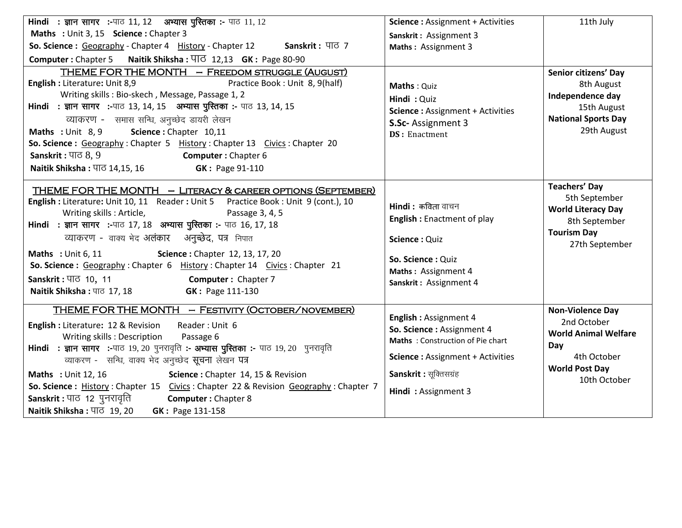| <b>Hindi : ज्ञान सागर :-</b> पाठ 11, 12 अभ्यास पुस्तिका :- पाठ 11, 12                                                                                                                                                                                                                                                                                                                                                                                                                                                                                                                      | <b>Science: Assignment + Activities</b>                                                                                                                                            | 11th July                                                                                                                            |
|--------------------------------------------------------------------------------------------------------------------------------------------------------------------------------------------------------------------------------------------------------------------------------------------------------------------------------------------------------------------------------------------------------------------------------------------------------------------------------------------------------------------------------------------------------------------------------------------|------------------------------------------------------------------------------------------------------------------------------------------------------------------------------------|--------------------------------------------------------------------------------------------------------------------------------------|
| Maths : Unit 3, 15 Science : Chapter 3                                                                                                                                                                                                                                                                                                                                                                                                                                                                                                                                                     | Sanskrit: Assignment 3                                                                                                                                                             |                                                                                                                                      |
| So. Science: Geography - Chapter 4 History - Chapter 12 Sanskrit: पाठ 7                                                                                                                                                                                                                                                                                                                                                                                                                                                                                                                    | Maths: Assignment 3                                                                                                                                                                |                                                                                                                                      |
| Computer: Chapter 5 Naitik Shiksha: $\overline{41}$ 12,13 GK: Page 80-90                                                                                                                                                                                                                                                                                                                                                                                                                                                                                                                   |                                                                                                                                                                                    |                                                                                                                                      |
| THEME FOR THE MONTH - FREEDOM STRUGGLE (AUGUST)<br>English: Literature: Unit 8,9<br>Practice Book: Unit 8, 9(half)<br>Writing skills: Bio-skech, Message, Passage 1, 2<br>Hindi : ज्ञान सागर :-पाठ 13, 14, 15 अभ्यास पुस्तिका :- पाठ 13, 14, 15<br>व्याकरण - समास सन्धि, अनुच्छेद डायरी लेखन<br>Science: Chapter 10,11<br>Maths : Unit 8, 9<br>So. Science: Geography: Chapter 5 History: Chapter 13 Civics: Chapter 20<br>Sanskrit: $\Pi \in \mathcal{S}, 9$<br><b>Computer:</b> Chapter 6<br><b>Naitik Shiksha: पाठ 14,15, 16</b><br><b>GK: Page 91-110</b>                              | Maths: Quiz<br>Hindi: Quiz<br><b>Science: Assignment + Activities</b><br>S.Sc-Assignment 3<br><b>DS</b> : Enactment                                                                | Senior citizens' Day<br>8th August<br>Independence day<br>15th August<br><b>National Sports Day</b><br>29th August                   |
| THEME FOR THE MONTH - LITERACY & CAREER OPTIONS (SEPTEMBER)<br>English : Literature: Unit 10, 11 Reader : Unit 5 Practice Book : Unit 9 (cont.), 10<br>Writing skills: Article,<br>Passage 3, 4, 5<br>Hindi : ज्ञान सागर :-पाठ 17, 18 अभ्यास पुस्तिका :- पाठ 16, 17, 18<br>व्याकरण - वाक्य भेद अलंकार अनुच्छेद, पत्र निपात<br>Science: Chapter 12, 13, 17, 20<br>Maths: Unit 6, 11<br>So. Science: Geography: Chapter 6 History: Chapter 14 Civics: Chapter 21<br>Sanskrit: पाठ 10, 11<br><b>Computer:</b> Chapter 7<br>Naitik Shiksha: पाठ 17, 18 <b>GK: Page 111-130</b>                 | $Hindi$ : कविता वाचन<br><b>English: Enactment of play</b><br>Science: Quiz<br>So. Science: Quiz<br>Maths: Assignment 4<br>Sanskrit: Assignment 4                                   | <b>Teachers' Day</b><br>5th September<br><b>World Literacy Day</b><br>8th September<br><b>Tourism Day</b><br>27th September          |
| THEME FOR THE MONTH - FESTIVITY (OCTOBER/NOVEMBER)<br><b>English: Literature: 12 &amp; Revision</b><br>Reader: Unit 6<br>Writing skills: Description<br>Passage 6<br>Hindi : ज्ञान सागर :-पाठ 19, 20 पुनरावृति :- अभ्यास पुस्तिका :- पाठ 19, 20 पुनरावृति<br>व्याकरण - सन्धि, वाक्य भेद अनुच्छेद सूचना लेखन पत्र<br><b>Maths: Unit 12, 16</b><br>Science: Chapter 14, 15 & Revision<br>So. Science: History: Chapter 15 Civics: Chapter 22 & Revision Geography: Chapter 7<br>Sanskrit : पाठ) 12 पुनरावृति<br><b>Computer: Chapter 8</b><br>Naitik Shiksha: पाठ 19, 20<br>GK: Page 131-158 | English: Assignment 4<br>So. Science: Assignment 4<br>Maths: Construction of Pie chart<br><b>Science: Assignment + Activities</b><br>Sanskrit: सूक्तिसग्रंह<br>Hindi: Assignment 3 | <b>Non-Violence Day</b><br>2nd October<br><b>World Animal Welfare</b><br>Day<br>4th October<br><b>World Post Day</b><br>10th October |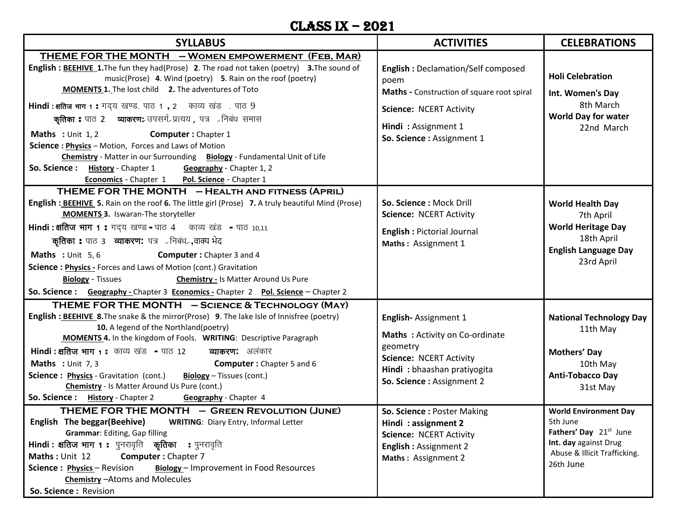#### Class IX – 2021

| <b>SYLLABUS</b>                                                                                                                                                                                                                                                                                                                                                                                                                                                                                                                                                                                                                                                                                                                | <b>ACTIVITIES</b>                                                                                                                                                                               | <b>CELEBRATIONS</b>                                                                                                                           |
|--------------------------------------------------------------------------------------------------------------------------------------------------------------------------------------------------------------------------------------------------------------------------------------------------------------------------------------------------------------------------------------------------------------------------------------------------------------------------------------------------------------------------------------------------------------------------------------------------------------------------------------------------------------------------------------------------------------------------------|-------------------------------------------------------------------------------------------------------------------------------------------------------------------------------------------------|-----------------------------------------------------------------------------------------------------------------------------------------------|
| THEME FOR THE MONTH - WOMEN EMPOWERMENT (FEB, MAR)<br>English : BEEHIVE 1. The fun they had(Prose) 2. The road not taken (poetry) 3. The sound of<br>music(Prose) 4. Wind (poetry) 5. Rain on the roof (poetry)<br><b>MOMENTS 1.</b> The lost child 2. The adventures of Toto<br>Hindi: क्षतिज भाग 1: गद्य खण्ड. पाठ 1, 2 काव्य खंड. पाठ 9<br><b>कृतिका :</b> पाठ 2 व्याकरण: उपसर्ग-प्रत्यय , पत्र - निबंध समास<br><b>Maths</b> : Unit $1, 2$<br><b>Computer: Chapter 1</b><br>Science: Physics - Motion, Forces and Laws of Motion<br>Chemistry - Matter in our Surrounding Biology - Fundamental Unit of Life<br>So. Science: History - Chapter 1 Geography - Chapter 1, 2<br>Economics - Chapter 1 Pol. Science - Chapter 1 | <b>English: Declamation/Self composed</b><br>poem<br>Maths - Construction of square root spiral<br><b>Science: NCERT Activity</b><br>Hindi: Assignment 1<br>So. Science: Assignment 1           | <b>Holi Celebration</b><br>Int. Women's Day<br>8th March<br><b>World Day for water</b><br>22nd March                                          |
| THEME FOR THE MONTH - HEALTH AND FITNESS (APRIL)<br>English : BEEHIVE 5. Rain on the roof 6. The little girl (Prose) 7. A truly beautiful Mind (Prose)<br><b>MOMENTS 3. Iswaran-The storyteller</b><br>Hindi : क्षतिज भाग 1 : गद्य खण्ड - पाठ 4 काव्य खंड - पाठ 10,11<br>कृतिका : पाठ 3 व्याकरण: पत्र रनिबंधर, वाक्य भेद<br>Maths : Unit 5,6<br><b>Computer:</b> Chapter 3 and 4<br>Science: Physics - Forces and Laws of Motion (cont.) Gravitation<br><b>Biology</b> - Tissues<br><b>Chemistry - Is Matter Around Us Pure</b><br>So. Science: Geography - Chapter 3 Economics - Chapter 2 Pol. Science - Chapter 2                                                                                                           | So. Science: Mock Drill<br>Science: NCERT Activity<br><b>English: Pictorial Journal</b><br>Maths: Assignment 1                                                                                  | <b>World Health Day</b><br>7th April<br><b>World Heritage Day</b><br>18th April<br><b>English Language Day</b><br>23rd April                  |
| THEME FOR THE MONTH - SCIENCE & TECHNOLOGY (MAY)<br>English : BEEHIVE 8. The snake & the mirror(Prose) 9. The lake Isle of Innisfree (poetry)<br>10. A legend of the Northland(poetry)<br>MOMENTS 4. In the kingdom of Fools. WRITING: Descriptive Paragraph<br><b>Hindi : क्षतिज भाग 1 :</b> काव्य खंड  = पाठ 12<br><b>व्याकरण:</b> अलंकार<br>Maths : Unit 7, 3<br><b>Computer:</b> Chapter 5 and 6<br>Biology - Tissues (cont.)<br><b>Science: Physics</b> - Gravitation (cont.)<br><b>Chemistry</b> - Is Matter Around Us Pure (cont.)<br>So. Science: History - Chapter 2 Geography - Chapter 4<br>THEME FOR THE MONTH - GREEN REVOLUTION (JUNE)                                                                           | English-Assignment 1<br>Maths: Activity on Co-ordinate<br>geometry<br><b>Science: NCERT Activity</b><br>Hindi: bhaashan pratiyogita<br>So. Science : Assignment 2<br>So. Science: Poster Making | <b>National Technology Day</b><br>11th May<br>Mothers' Day<br>10th May<br><b>Anti-Tobacco Day</b><br>31st May<br><b>World Environment Day</b> |
| English The beggar(Beehive)<br><b>WRITING: Diary Entry, Informal Letter</b><br>Grammar: Editing, Gap filling<br>Hindi : क्षतिज भाग 1 : पुनरावृति कृतिका : पुनरावृति<br>Maths: Unit 12<br>Computer: Chapter 7<br>Biology - Improvement in Food Resources<br>Science: Physics - Revision<br>Chemistry - Atoms and Molecules<br>So. Science: Revision                                                                                                                                                                                                                                                                                                                                                                             | Hindi: assignment 2<br><b>Science: NCERT Activity</b><br><b>English: Assignment 2</b><br>Maths: Assignment 2                                                                                    | 5th June<br>Fathers' Day 21 <sup>st</sup> June<br>Int. day against Drug<br>Abuse & Illicit Trafficking.<br>26th June                          |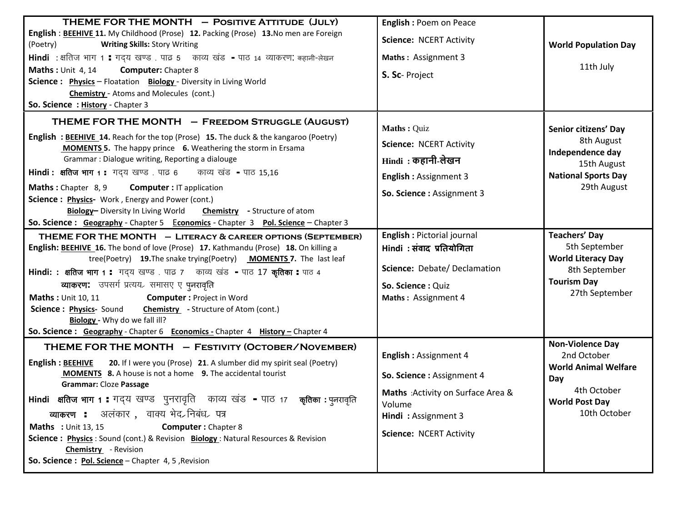| THEME FOR THE MONTH - POSITIVE ATTITUDE (JULY)<br>English : BEEHIVE 11. My Childhood (Prose) 12. Packing (Prose) 13. No men are Foreign<br>(Poetry)<br><b>Writing Skills: Story Writing</b><br>Hindi : क्षतिज भाग 1 : गद्य खण्ड . पाढ 5 काव्य खंड - पाठ 14 व्याकरण: कहानी-लेखन<br><b>Maths: Unit 4, 14</b><br><b>Computer:</b> Chapter 8<br>Science: Physics - Floatation Biology - Diversity in Living World<br><b>Chemistry</b> - Atoms and Molecules (cont.)<br>So. Science: History - Chapter 3                                                                                                                           | <b>English: Poem on Peace</b><br><b>Science: NCERT Activity</b><br>Maths: Assignment 3<br>S. Sc- Project                                                           | <b>World Population Day</b><br>11th July                                                                                             |
|-------------------------------------------------------------------------------------------------------------------------------------------------------------------------------------------------------------------------------------------------------------------------------------------------------------------------------------------------------------------------------------------------------------------------------------------------------------------------------------------------------------------------------------------------------------------------------------------------------------------------------|--------------------------------------------------------------------------------------------------------------------------------------------------------------------|--------------------------------------------------------------------------------------------------------------------------------------|
| THEME FOR THE MONTH - FREEDOM STRUGGLE (AUGUST)<br>English: BEEHIVE 14. Reach for the top (Prose) 15. The duck & the kangaroo (Poetry)<br><b>MOMENTS 5.</b> The happy prince 6. Weathering the storm in Ersama<br>Grammar: Dialogue writing, Reporting a dialouge<br>Hindi: क्षतिज भाग 1: गदय खण्ड पाढ 6 काव्य खंड - पाठ 15,16<br>Maths: Chapter 8, 9<br><b>Computer: IT application</b><br>Science: Physics- Work, Energy and Power (cont.)<br>Biology- Diversity In Living World Chemistry - Structure of atom<br>So. Science: Geography - Chapter 5 Economics - Chapter 3 Pol. Science - Chapter 3                         | Maths: Quiz<br><b>Science: NCERT Activity</b><br>Hindi : कहानी-लेखन<br><b>English: Assignment 3</b><br>So. Science: Assignment 3                                   | Senior citizens' Day<br>8th August<br>Independence day<br>15th August<br><b>National Sports Day</b><br>29th August                   |
| THEME FOR THE MONTH - LITERACY & CAREER OPTIONS (SEPTEMBER)<br>English: BEEHIVE 16. The bond of love (Prose) 17. Kathmandu (Prose) 18. On killing a<br>tree(Poetry) 19. The snake trying(Poetry) MOMENTS 7. The last leaf<br>Hindi: : क्षतिज भाग 1 : गद्य खण्ड पाढ 7 काव्य खंड - पाठ 17 कृतिका : पाठ 4<br>व्याकरण: उपसर्ग प्रत्यय समासए ए पुनरावृति<br><b>Computer: Project in Word</b><br><b>Maths: Unit 10, 11</b><br>Science: Physics- Sound Chemistry - Structure of Atom (cont.)<br>Biology - Why do we fall ill?<br>So. Science: Geography - Chapter 6 Economics - Chapter 4 History - Chapter 4                        | <b>English: Pictorial journal</b><br>Hindi : संवाद प्रतियोगिता<br>Science: Debate/Declamation<br>So. Science: Quiz<br>Maths: Assignment 4                          | <b>Teachers' Day</b><br>5th September<br><b>World Literacy Day</b><br>8th September<br><b>Tourism Day</b><br>27th September          |
| THEME FOR THE MONTH - FESTIVITY (OCTOBER/NOVEMBER)<br>20. If I were you (Prose) 21. A slumber did my spirit seal (Poetry)<br><b>English: BEEHIVE</b><br><b>MOMENTS</b> 8. A house is not a home 9. The accidental tourist<br><b>Grammar: Cloze Passage</b><br>Hindi क्षतिज भाग 1 : गद्य खण्ड पुनरावृति काव्य खंड - पाठ 17 कृतिका : पुनरावृति<br>व्याकरण : अलंकार , वाक्य भेद>निबंध> पत्र<br><b>Maths</b> : Unit 13, 15<br><b>Computer: Chapter 8</b><br>Science: Physics: Sound (cont.) & Revision Biology: Natural Resources & Revision<br><b>Chemistry</b> - Revision<br>So. Science: Pol. Science - Chapter 4, 5, Revision | <b>English: Assignment 4</b><br>So. Science: Assignment 4<br>Maths : Activity on Surface Area &<br>Volume<br>Hindi: Assignment 3<br><b>Science: NCERT Activity</b> | <b>Non-Violence Day</b><br>2nd October<br><b>World Animal Welfare</b><br>Day<br>4th October<br><b>World Post Day</b><br>10th October |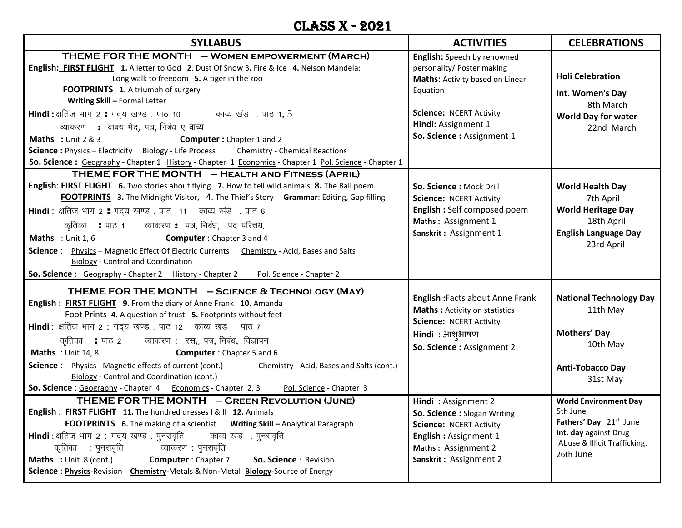#### CLASS X - 2021

| <b>SYLLABUS</b>                                                                                                                                                                                                                                                                                                                                                                                                                                                                                                                                                                                                                                                                                                                                                                                                                                                                                                                                                                                                                                                                                                                            | <b>ACTIVITIES</b>                                                                                                                                                                                                                                                                                                                     | <b>CELEBRATIONS</b>                                                                                                                                                                                                                                                          |
|--------------------------------------------------------------------------------------------------------------------------------------------------------------------------------------------------------------------------------------------------------------------------------------------------------------------------------------------------------------------------------------------------------------------------------------------------------------------------------------------------------------------------------------------------------------------------------------------------------------------------------------------------------------------------------------------------------------------------------------------------------------------------------------------------------------------------------------------------------------------------------------------------------------------------------------------------------------------------------------------------------------------------------------------------------------------------------------------------------------------------------------------|---------------------------------------------------------------------------------------------------------------------------------------------------------------------------------------------------------------------------------------------------------------------------------------------------------------------------------------|------------------------------------------------------------------------------------------------------------------------------------------------------------------------------------------------------------------------------------------------------------------------------|
| THEME FOR THE MONTH - WOMEN EMPOWERMENT (MARCH)<br>English: FIRST FLIGHT 1. A letter to God 2. Dust Of Snow 3. Fire & Ice 4. Nelson Mandela:<br>Long walk to freedom 5. A tiger in the zoo<br><b>FOOTPRINTS</b> 1. A triumph of surgery<br>Writing Skill - Formal Letter<br>Hindi: क्षतिज भाग 2 : गद्य खण्ड पाठ 10 काव्य खंड पाठ 1, 5<br>व्याकरण : वाक्य भेद, पत्र, निबंध ए वाच्य<br><b>Maths</b> : Unit $2 & 3$<br>Computer: Chapter 1 and 2<br><b>Science: Physics - Electricity</b> Biology - Life Process<br><b>Chemistry - Chemical Reactions</b><br>So. Science : Geography - Chapter 1 History - Chapter 1 Economics - Chapter 1 Pol. Science - Chapter 1                                                                                                                                                                                                                                                                                                                                                                                                                                                                           | English: Speech by renowned<br>personality/ Poster making<br>Maths: Activity based on Linear<br>Equation<br><b>Science: NCERT Activity</b><br>Hindi: Assignment 1<br>So. Science : Assignment 1                                                                                                                                       | <b>Holi Celebration</b><br>Int. Women's Day<br>8th March<br><b>World Day for water</b><br>22nd March                                                                                                                                                                         |
| THEME FOR THE MONTH - HEALTH AND FITNESS (APRIL)<br>English: FIRST FLIGHT 6. Two stories about flying 7. How to tell wild animals 8. The Ball poem<br>FOOTPRINTS 3. The Midnight Visitor, 4. The Thief's Story Grammar: Editing, Gap filling<br>Hindi : क्षतिज भाग 2 : गद्य खण्ड . पाठ 11 काव्य खंड . पाठ 6<br>कृतिका ॥ पाठ १ व्याकरण ॥ पत्र, निबंध, पद परिचय,<br>Maths : Unit 1, 6<br><b>Computer:</b> Chapter 3 and 4<br>Science: Physics - Magnetic Effect Of Electric Currents Chemistry - Acid, Bases and Salts<br><b>Biology - Control and Coordination</b><br><b>So. Science</b> : Geography - Chapter 2 History - Chapter 2<br>Pol. Science - Chapter 2                                                                                                                                                                                                                                                                                                                                                                                                                                                                            | So. Science: Mock Drill<br><b>Science: NCERT Activity</b><br>English : Self composed poem<br>Maths: Assignment 1<br>Sanskrit: Assignment 1                                                                                                                                                                                            | <b>World Health Day</b><br>7th April<br><b>World Heritage Day</b><br>18th April<br><b>English Language Day</b><br>23rd April                                                                                                                                                 |
| THEME FOR THE MONTH - SCIENCE & TECHNOLOGY (MAY)<br>English: FIRST FLIGHT 9. From the diary of Anne Frank 10. Amanda<br>Foot Prints 4. A question of trust 5. Footprints without feet<br>Hindi : क्षतिज भाग 2 : गद्य खण्ड . पाठ 12 काव्य खंड . पाठ 7<br>कृतिका ॥ पाठ २ व्याकरण : रस,, पत्र, निबंध, विज्ञापन<br>Maths: Unit 14, 8<br><b>Computer:</b> Chapter 5 and 6<br><b>Science:</b> Physics - Magnetic effects of current (cont.)<br>Chemistry - Acid, Bases and Salts (cont.)<br><b>Biology</b> - Control and Coordination (cont.)<br>Pol. Science - Chapter 3<br><b>So. Science</b> : Geography - Chapter 4 Economics - Chapter 2, 3<br>THEME FOR THE MONTH - GREEN REVOLUTION (JUNE)<br>English: FIRST FLIGHT 11. The hundred dresses   &    12. Animals<br><b>FOOTPRINTS</b> 6. The making of a scientist Writing Skill - Analytical Paragraph<br>Hindi: क्षतिज भाग 2 : गद्य खण्ड पुनरावृति काव्य खंड पुनरावृति<br>कृतिका : पुनरावृति व्याकरण : पुनरावृति<br><b>Maths</b> : Unit 8 (cont.) <b>Computer</b> : Chapter 7<br>So. Science: Revision<br>Science: Physics-Revision Chemistry-Metals & Non-Metal Biology-Source of Energy | <b>English: Facts about Anne Frank</b><br>Maths : Activity on statistics<br><b>Science: NCERT Activity</b><br>Hindi: आश् <i>भाषण</i><br>So. Science : Assignment 2<br>Hindi: Assignment 2<br>So. Science : Slogan Writing<br><b>Science: NCERT Activity</b><br>English: Assignment 1<br>Maths: Assignment 2<br>Sanskrit: Assignment 2 | <b>National Technology Day</b><br>11th May<br><b>Mothers' Day</b><br>10th May<br><b>Anti-Tobacco Day</b><br>31st May<br><b>World Environment Day</b><br>5th June<br>Fathers' Day 21 <sup>st</sup> June<br>Int. day against Drug<br>Abuse & Illicit Trafficking.<br>26th June |